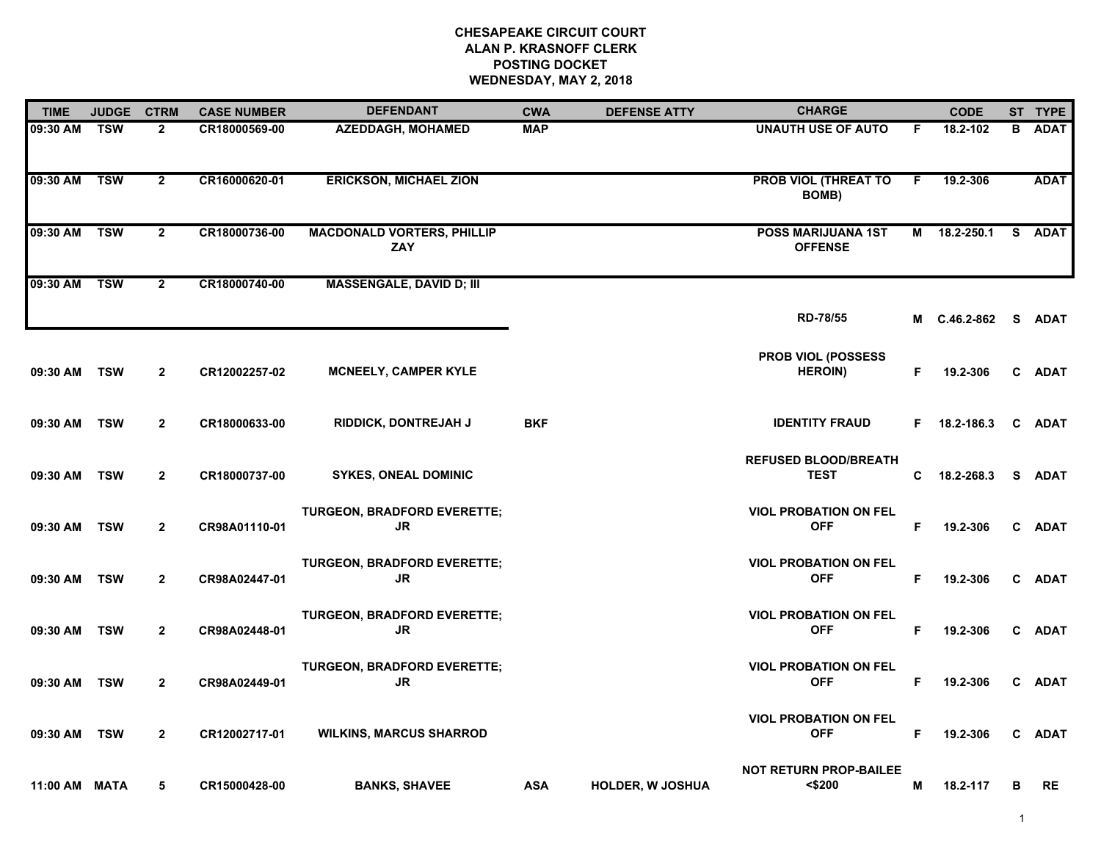| <b>TIME</b>   | <b>JUDGE</b> | <b>CTRM</b>    | <b>CASE NUMBER</b> | <b>DEFENDANT</b>                                | <b>CWA</b> | <b>DEFENSE ATTY</b> | <b>CHARGE</b>                               |    | <b>CODE</b>         |              | ST TYPE     |
|---------------|--------------|----------------|--------------------|-------------------------------------------------|------------|---------------------|---------------------------------------------|----|---------------------|--------------|-------------|
| 09:30 AM      | TSW          | $\mathbf{2}$   | CR18000569-00      | <b>AZEDDAGH, MOHAMED</b>                        | <b>MAP</b> |                     | <b>UNAUTH USE OF AUTO</b>                   | F. | 18.2-102            | в            | <b>ADAT</b> |
| 09:30 AM TSW  |              | $\overline{2}$ | CR16000620-01      | <b>ERICKSON, MICHAEL ZION</b>                   |            |                     | <b>PROB VIOL (THREAT TO</b><br><b>BOMB)</b> | F. | 19.2-306            |              | <b>ADAT</b> |
| 09:30 AM TSW  |              | $\overline{2}$ | CR18000736-00      | <b>MACDONALD VORTERS, PHILLIP</b><br><b>ZAY</b> |            |                     | <b>POSS MARIJUANA 1ST</b><br><b>OFFENSE</b> |    | M 18.2-250.1        |              | S ADAT      |
| 09:30 AM      | <b>TSW</b>   | $\mathbf{2}$   | CR18000740-00      | <b>MASSENGALE, DAVID D; III</b>                 |            |                     |                                             |    |                     |              |             |
|               |              |                |                    |                                                 |            |                     | RD-78/55                                    |    | M C.46.2-862 S ADAT |              |             |
| 09:30 AM      | <b>TSW</b>   | $\overline{2}$ | CR12002257-02      | <b>MCNEELY, CAMPER KYLE</b>                     |            |                     | PROB VIOL (POSSESS<br><b>HEROIN)</b>        | F. | 19.2-306            |              | C ADAT      |
| 09:30 AM      | <b>TSW</b>   | $\overline{2}$ | CR18000633-00      | RIDDICK, DONTREJAH J                            | <b>BKF</b> |                     | <b>IDENTITY FRAUD</b>                       | F. | 18.2-186.3          | C            | <b>ADAT</b> |
| 09:30 AM      | <b>TSW</b>   | $\overline{2}$ | CR18000737-00      | <b>SYKES, ONEAL DOMINIC</b>                     |            |                     | <b>REFUSED BLOOD/BREATH</b><br><b>TEST</b>  | C. | 18.2-268.3          |              | S ADAT      |
| 09:30 AM      | <b>TSW</b>   | $\overline{2}$ | CR98A01110-01      | <b>TURGEON, BRADFORD EVERETTE;</b><br>JR        |            |                     | <b>VIOL PROBATION ON FEL</b><br><b>OFF</b>  | F  | 19.2-306            |              | C ADAT      |
| 09:30 AM TSW  |              | $\overline{2}$ | CR98A02447-01      | <b>TURGEON, BRADFORD EVERETTE;</b><br>JR        |            |                     | <b>VIOL PROBATION ON FEL</b><br><b>OFF</b>  | F  | 19.2-306            |              | C ADAT      |
| 09:30 AM TSW  |              | $\mathbf{2}$   | CR98A02448-01      | TURGEON, BRADFORD EVERETTE;<br>JR.              |            |                     | <b>VIOL PROBATION ON FEL</b><br><b>OFF</b>  | F  | 19.2-306            |              | C ADAT      |
| 09:30 AM      | <b>TSW</b>   | $\mathbf{2}$   | CR98A02449-01      | TURGEON, BRADFORD EVERETTE;<br>JR.              |            |                     | <b>VIOL PROBATION ON FEL</b><br><b>OFF</b>  | F  | 19.2-306            |              | C ADAT      |
| 09:30 AM      | <b>TSW</b>   | $\overline{2}$ | CR12002717-01      | <b>WILKINS, MARCUS SHARROD</b>                  |            |                     | <b>VIOL PROBATION ON FEL</b><br><b>OFF</b>  | F  | 19.2-306            | $\mathbf{c}$ | <b>ADAT</b> |
| 11:00 AM MATA |              | 5              | CR15000428-00      | <b>BANKS, SHAVEE</b>                            | <b>ASA</b> | HOLDER, W JOSHUA    | <b>NOT RETURN PROP-BAILEE</b><br>$<$ \$200  | Μ  | 18.2-117            | в            | RE          |

1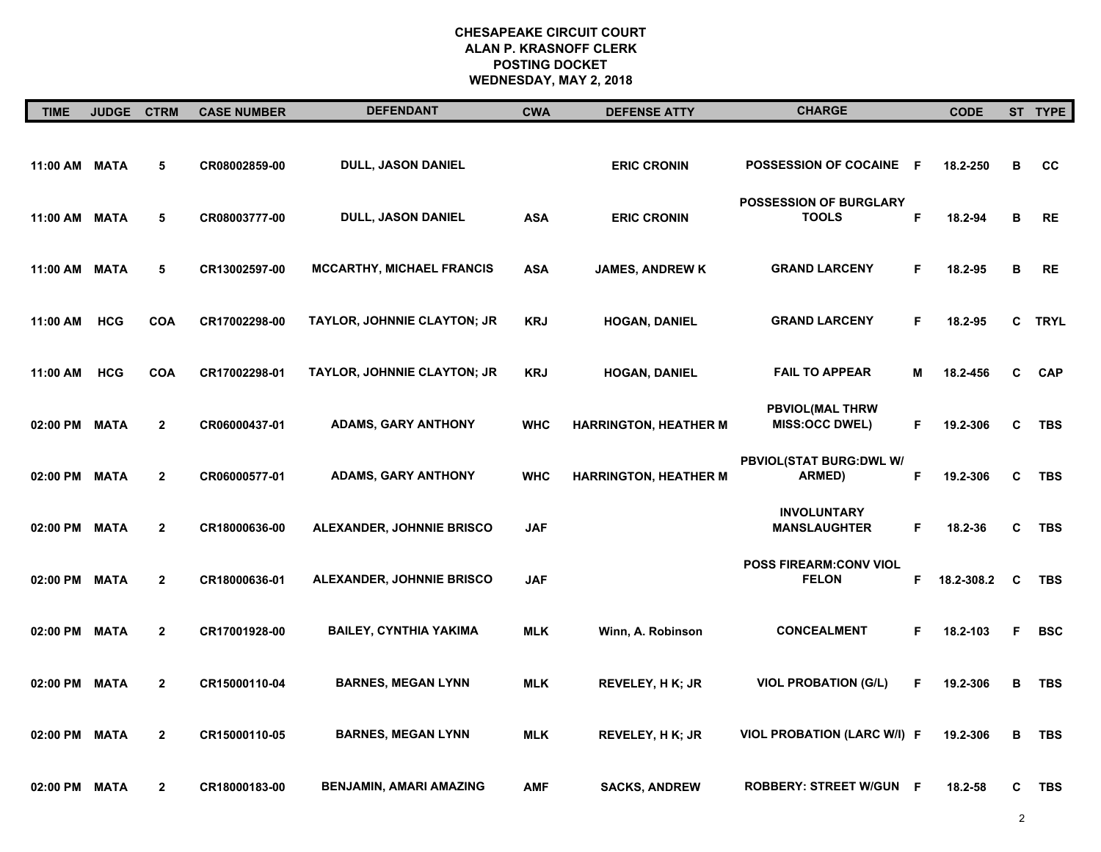| <b>TIME</b>   | <b>JUDGE</b> | <b>CTRM</b>    | <b>CASE NUMBER</b> | <b>DEFENDANT</b>                   | <b>CWA</b> | <b>DEFENSE ATTY</b>          | <b>CHARGE</b>                                   |     | <b>CODE</b> |    | ST TYPE     |
|---------------|--------------|----------------|--------------------|------------------------------------|------------|------------------------------|-------------------------------------------------|-----|-------------|----|-------------|
| 11:00 AM MATA |              | 5              | CR08002859-00      | <b>DULL, JASON DANIEL</b>          |            | <b>ERIC CRONIN</b>           | <b>POSSESSION OF COCAINE</b>                    | - F | 18.2-250    | в  | CC          |
| 11:00 AM      | MATA         | 5              | CR08003777-00      | DULL, JASON DANIEL                 | <b>ASA</b> | <b>ERIC CRONIN</b>           | <b>POSSESSION OF BURGLARY</b><br><b>TOOLS</b>   | F   | 18.2-94     | В  | <b>RE</b>   |
| 11:00 AM MATA |              | 5              | CR13002597-00      | <b>MCCARTHY, MICHAEL FRANCIS</b>   | <b>ASA</b> | <b>JAMES, ANDREW K</b>       | <b>GRAND LARCENY</b>                            | F   | 18.2-95     | B  | <b>RE</b>   |
| 11:00 AM      | <b>HCG</b>   | <b>COA</b>     | CR17002298-00      | <b>TAYLOR, JOHNNIE CLAYTON; JR</b> | <b>KRJ</b> | <b>HOGAN, DANIEL</b>         | <b>GRAND LARCENY</b>                            | F.  | 18.2-95     | C  | <b>TRYL</b> |
| 11:00 AM      | <b>HCG</b>   | <b>COA</b>     | CR17002298-01      | TAYLOR, JOHNNIE CLAYTON; JR        | <b>KRJ</b> | <b>HOGAN, DANIEL</b>         | <b>FAIL TO APPEAR</b>                           | М   | 18.2-456    | C  | <b>CAP</b>  |
| 02:00 PM      | <b>MATA</b>  | $\mathbf{2}$   | CR06000437-01      | <b>ADAMS, GARY ANTHONY</b>         | <b>WHC</b> | <b>HARRINGTON, HEATHER M</b> | <b>PBVIOL(MAL THRW</b><br><b>MISS:OCC DWEL)</b> | F   | 19.2-306    | C  | <b>TBS</b>  |
| 02:00 PM      | <b>MATA</b>  | $\mathbf{2}$   | CR06000577-01      | <b>ADAMS, GARY ANTHONY</b>         | <b>WHC</b> | <b>HARRINGTON, HEATHER M</b> | PBVIOL(STAT BURG: DWL W/<br>ARMED)              | F.  | 19.2-306    | C  | TBS         |
| 02:00 PM      | <b>MATA</b>  | $\overline{2}$ | CR18000636-00      | ALEXANDER, JOHNNIE BRISCO          | <b>JAF</b> |                              | <b>INVOLUNTARY</b><br><b>MANSLAUGHTER</b>       | F.  | 18.2-36     | C  | <b>TBS</b>  |
| 02:00 PM      | <b>MATA</b>  | $\overline{2}$ | CR18000636-01      | ALEXANDER, JOHNNIE BRISCO          | <b>JAF</b> |                              | <b>POSS FIREARM:CONV VIOL</b><br><b>FELON</b>   | F   | 18.2-308.2  | C  | <b>TBS</b>  |
| 02:00 PM      | MATA         | $\overline{2}$ | CR17001928-00      | <b>BAILEY, CYNTHIA YAKIMA</b>      | MLK        | Winn, A. Robinson            | <b>CONCEALMENT</b>                              | F   | 18.2-103    | F. | <b>BSC</b>  |
| 02:00 PM      | MATA         | $\overline{2}$ | CR15000110-04      | <b>BARNES, MEGAN LYNN</b>          | <b>MLK</b> | <b>REVELEY, H K; JR</b>      | <b>VIOL PROBATION (G/L)</b>                     | F   | 19.2-306    | в  | <b>TBS</b>  |
| 02:00 PM      | <b>MATA</b>  | $\overline{2}$ | CR15000110-05      | <b>BARNES, MEGAN LYNN</b>          | <b>MLK</b> | <b>REVELEY, H K; JR</b>      | VIOL PROBATION (LARC W/I) F                     |     | 19.2-306    | B  | <b>TBS</b>  |
| 02:00 PM      | MATA         | $\mathbf{2}$   | CR18000183-00      | <b>BENJAMIN, AMARI AMAZING</b>     | <b>AMF</b> | <b>SACKS, ANDREW</b>         | <b>ROBBERY: STREET W/GUN F</b>                  |     | 18.2-58     | C  | <b>TBS</b>  |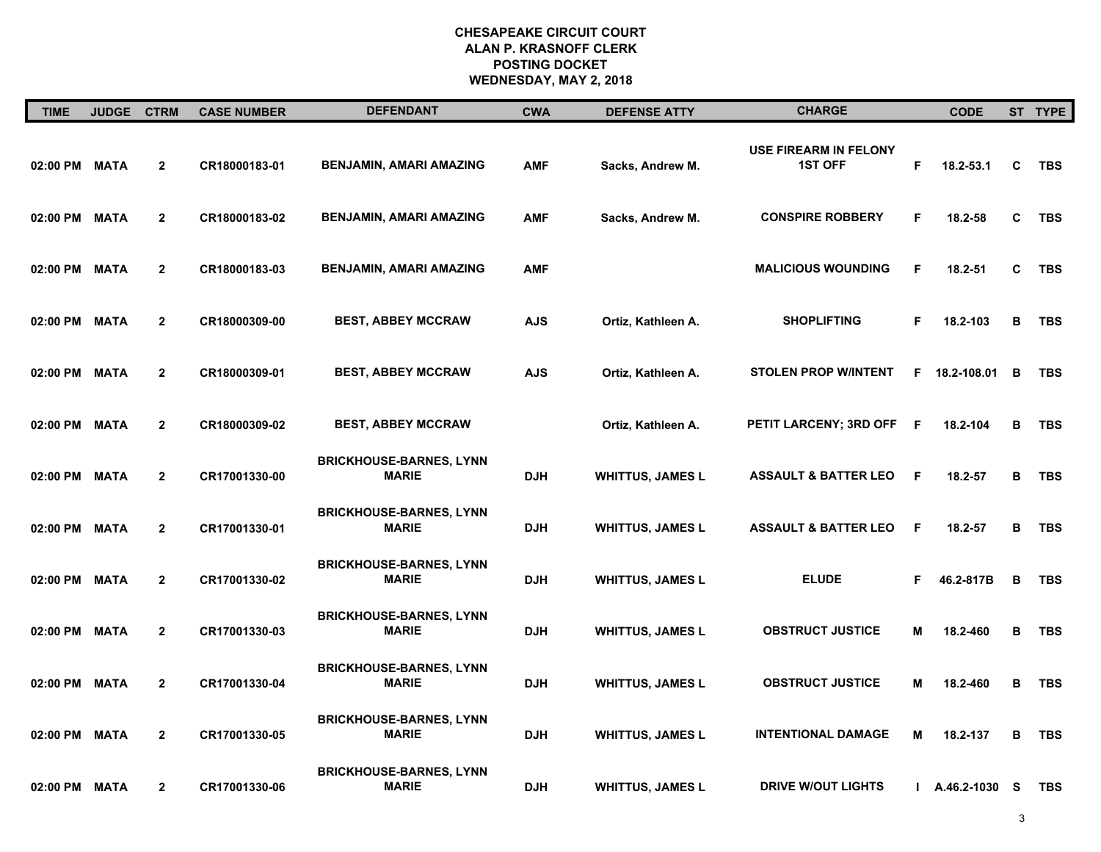| <b>TIME</b>   | <b>JUDGE</b> | <b>CTRM</b>    | <b>CASE NUMBER</b> | <b>DEFENDANT</b>                               | <b>CWA</b> | <b>DEFENSE ATTY</b>     | <b>CHARGE</b>                                  |    | <b>CODE</b> |   | ST TYPE    |
|---------------|--------------|----------------|--------------------|------------------------------------------------|------------|-------------------------|------------------------------------------------|----|-------------|---|------------|
| 02:00 PM      | MATA         | $\overline{2}$ | CR18000183-01      | <b>BENJAMIN, AMARI AMAZING</b>                 | <b>AMF</b> | Sacks, Andrew M.        | <b>USE FIREARM IN FELONY</b><br><b>1ST OFF</b> | F  | 18.2-53.1   | C | TBS        |
| 02:00 PM      | <b>MATA</b>  | $\overline{2}$ | CR18000183-02      | <b>BENJAMIN, AMARI AMAZING</b>                 | <b>AMF</b> | Sacks, Andrew M.        | <b>CONSPIRE ROBBERY</b>                        | F. | 18.2-58     | C | <b>TBS</b> |
| 02:00 PM MATA |              | $\overline{2}$ | CR18000183-03      | <b>BENJAMIN, AMARI AMAZING</b>                 | <b>AMF</b> |                         | <b>MALICIOUS WOUNDING</b>                      | F  | 18.2-51     | C | TBS        |
| 02:00 PM MATA |              | $\mathbf{2}$   | CR18000309-00      | <b>BEST, ABBEY MCCRAW</b>                      | AJS        | Ortiz, Kathleen A.      | <b>SHOPLIFTING</b>                             | F  | 18.2-103    | в | <b>TBS</b> |
| 02:00 PM MATA |              | $\mathbf{2}$   | CR18000309-01      | <b>BEST, ABBEY MCCRAW</b>                      | <b>AJS</b> | Ortiz, Kathleen A.      | <b>STOLEN PROP W/INTENT</b>                    | F. | 18.2-108.01 | B | <b>TBS</b> |
| 02:00 PM      | MATA         | $\mathbf{2}$   | CR18000309-02      | <b>BEST, ABBEY MCCRAW</b>                      |            | Ortiz, Kathleen A.      | PETIT LARCENY; 3RD OFF                         | F  | 18.2-104    | В | TBS        |
| 02:00 PM MATA |              | $\overline{2}$ | CR17001330-00      | <b>BRICKHOUSE-BARNES, LYNN</b><br><b>MARIE</b> | <b>DJH</b> | <b>WHITTUS, JAMES L</b> | <b>ASSAULT &amp; BATTER LEO</b>                | F  | 18.2-57     | В | <b>TBS</b> |
| 02:00 PM      | <b>MATA</b>  | $\overline{2}$ | CR17001330-01      | <b>BRICKHOUSE-BARNES, LYNN</b><br><b>MARIE</b> | <b>DJH</b> | <b>WHITTUS, JAMES L</b> | <b>ASSAULT &amp; BATTER LEO</b>                | F  | 18.2-57     | в | TBS        |
| 02:00 PM MATA |              | $\overline{2}$ | CR17001330-02      | <b>BRICKHOUSE-BARNES, LYNN</b><br><b>MARIE</b> | <b>DJH</b> | <b>WHITTUS, JAMES L</b> | <b>ELUDE</b>                                   | F  | 46.2-817B   | в | TBS        |
| 02:00 PM MATA |              | $\overline{2}$ | CR17001330-03      | <b>BRICKHOUSE-BARNES, LYNN</b><br><b>MARIE</b> | <b>DJH</b> | <b>WHITTUS, JAMES L</b> | <b>OBSTRUCT JUSTICE</b>                        | M  | 18.2-460    | в | <b>TBS</b> |
| 02:00 PM MATA |              | $\mathbf{2}$   | CR17001330-04      | <b>BRICKHOUSE-BARNES, LYNN</b><br><b>MARIE</b> | <b>DJH</b> | <b>WHITTUS, JAMES L</b> | <b>OBSTRUCT JUSTICE</b>                        | M  | 18.2-460    | В | <b>TBS</b> |
| 02:00 PM      | <b>MATA</b>  | $\overline{2}$ | CR17001330-05      | <b>BRICKHOUSE-BARNES, LYNN</b><br><b>MARIE</b> | <b>DJH</b> | <b>WHITTUS, JAMES L</b> | <b>INTENTIONAL DAMAGE</b>                      | м  | 18.2-137    | В | TBS        |
| 02:00 PM      | <b>MATA</b>  | $\mathbf{2}$   | CR17001330-06      | <b>BRICKHOUSE-BARNES, LYNN</b><br><b>MARIE</b> | <b>DJH</b> | <b>WHITTUS, JAMES L</b> | <b>DRIVE W/OUT LIGHTS</b>                      | L  | A.46.2-1030 | S | <b>TBS</b> |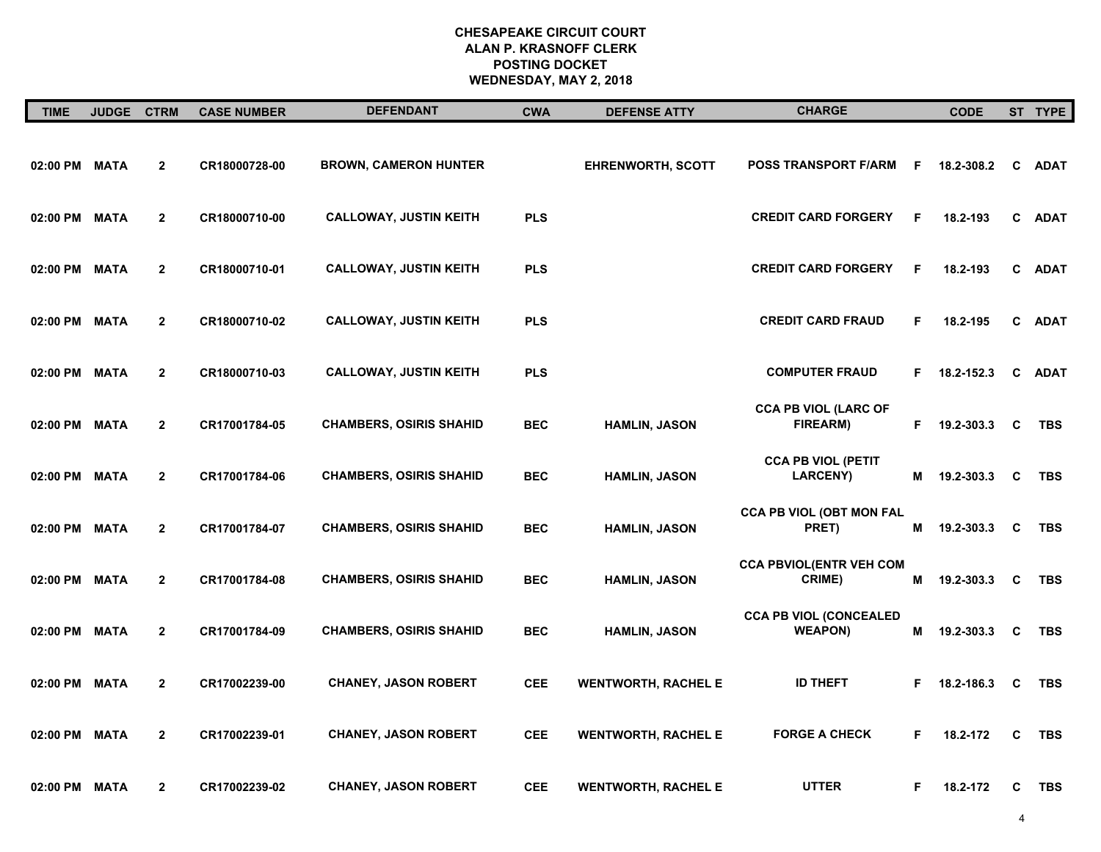| <b>TIME</b>   | JUDGE CTRM  |                | <b>CASE NUMBER</b> | <b>DEFENDANT</b>               | <b>CWA</b> | <b>DEFENSE ATTY</b>        | <b>CHARGE</b>                                   |    | <b>CODE</b>    |    | ST TYPE     |
|---------------|-------------|----------------|--------------------|--------------------------------|------------|----------------------------|-------------------------------------------------|----|----------------|----|-------------|
| 02:00 PM MATA |             | $\mathbf{2}$   | CR18000728-00      | <b>BROWN, CAMERON HUNTER</b>   |            | <b>EHRENWORTH, SCOTT</b>   | <b>POSS TRANSPORT F/ARM</b>                     | F. | 18.2-308.2     | C  | <b>ADAT</b> |
| 02:00 PM      | <b>MATA</b> | $\mathbf{2}$   | CR18000710-00      | <b>CALLOWAY, JUSTIN KEITH</b>  | <b>PLS</b> |                            | <b>CREDIT CARD FORGERY</b>                      | F  | 18.2-193       | C  | <b>ADAT</b> |
| 02:00 PM      | <b>MATA</b> | $\overline{2}$ | CR18000710-01      | <b>CALLOWAY, JUSTIN KEITH</b>  | <b>PLS</b> |                            | <b>CREDIT CARD FORGERY</b>                      | F  | 18.2-193       | C. | <b>ADAT</b> |
| 02:00 PM MATA |             | $\mathbf{2}$   | CR18000710-02      | <b>CALLOWAY, JUSTIN KEITH</b>  | <b>PLS</b> |                            | <b>CREDIT CARD FRAUD</b>                        | F. | 18.2-195       | C  | <b>ADAT</b> |
| 02:00 PM MATA |             | $\overline{2}$ | CR18000710-03      | <b>CALLOWAY, JUSTIN KEITH</b>  | <b>PLS</b> |                            | <b>COMPUTER FRAUD</b>                           |    | $F$ 18.2-152.3 | C  | <b>ADAT</b> |
| 02:00 PM      | <b>MATA</b> | $\overline{2}$ | CR17001784-05      | <b>CHAMBERS, OSIRIS SHAHID</b> | <b>BEC</b> | <b>HAMLIN, JASON</b>       | <b>CCA PB VIOL (LARC OF</b><br>FIREARM)         |    | F 19.2-303.3   | C  | <b>TBS</b>  |
| 02:00 PM      | <b>MATA</b> | $\overline{2}$ | CR17001784-06      | <b>CHAMBERS, OSIRIS SHAHID</b> | <b>BEC</b> | <b>HAMLIN, JASON</b>       | <b>CCA PB VIOL (PETIT</b><br><b>LARCENY)</b>    |    | M 19.2-303.3   | C  | <b>TBS</b>  |
| 02:00 PM MATA |             | $\overline{2}$ | CR17001784-07      | <b>CHAMBERS, OSIRIS SHAHID</b> | <b>BEC</b> | <b>HAMLIN, JASON</b>       | <b>CCA PB VIOL (OBT MON FAL</b><br>PRET)        | M  | 19.2-303.3     | C  | <b>TBS</b>  |
| 02:00 PM MATA |             | $\mathbf{2}$   | CR17001784-08      | <b>CHAMBERS, OSIRIS SHAHID</b> | <b>BEC</b> | <b>HAMLIN, JASON</b>       | <b>CCA PBVIOL(ENTR VEH COM</b><br><b>CRIME)</b> | М  | 19.2-303.3     | C  | <b>TBS</b>  |
| 02:00 PM MATA |             | $\overline{2}$ | CR17001784-09      | <b>CHAMBERS, OSIRIS SHAHID</b> | <b>BEC</b> | <b>HAMLIN, JASON</b>       | <b>CCA PB VIOL (CONCEALED</b><br><b>WEAPON)</b> | M  | 19.2-303.3     | C  | TBS         |
| 02:00 PM MATA |             | $\mathbf{2}$   | CR17002239-00      | <b>CHANEY, JASON ROBERT</b>    | <b>CEE</b> | <b>WENTWORTH, RACHEL E</b> | <b>ID THEFT</b>                                 |    | F 18.2-186.3   | C  | <b>TBS</b>  |
| 02:00 PM      | <b>MATA</b> | $\overline{2}$ | CR17002239-01      | <b>CHANEY, JASON ROBERT</b>    | <b>CEE</b> | <b>WENTWORTH, RACHEL E</b> | <b>FORGE A CHECK</b>                            | F. | 18.2-172       | C  | <b>TBS</b>  |
| 02:00 PM MATA |             | $\overline{2}$ | CR17002239-02      | <b>CHANEY, JASON ROBERT</b>    | CEE        | <b>WENTWORTH, RACHEL E</b> | <b>UTTER</b>                                    | F. | 18.2-172       | C  | TBS         |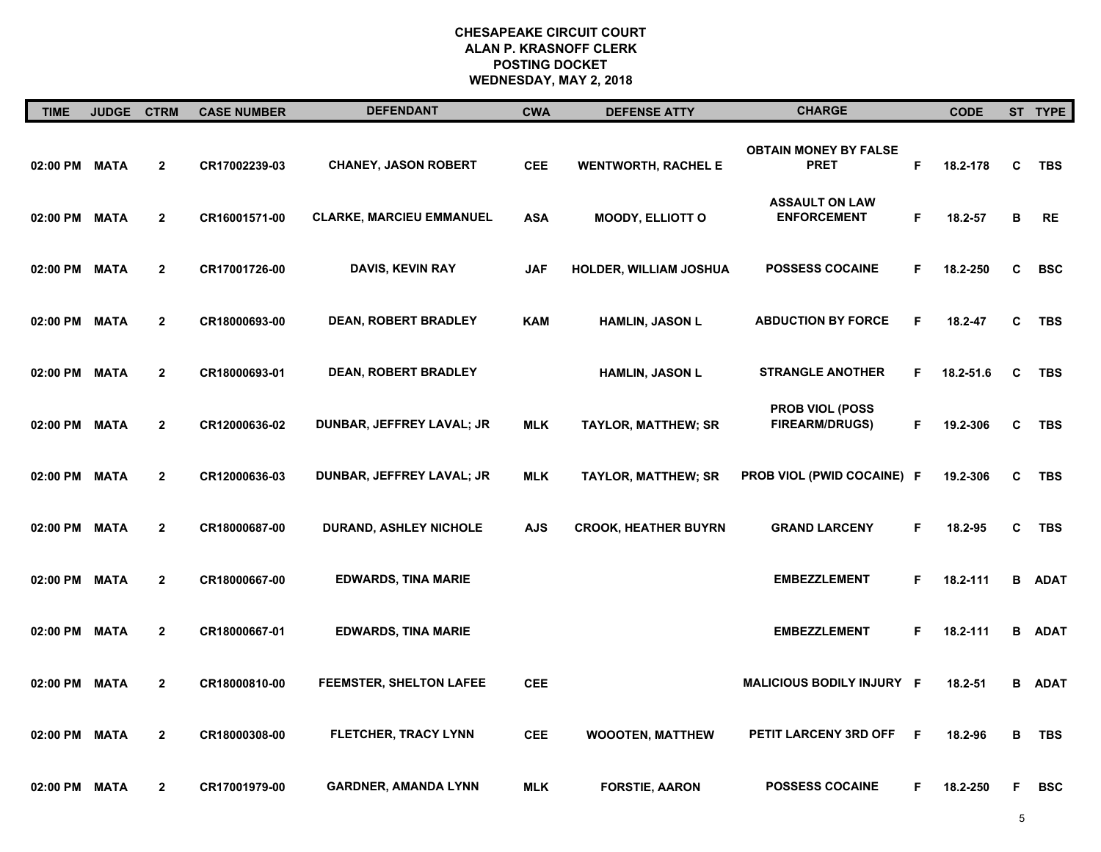| <b>TIME</b>   | <b>JUDGE</b> | <b>CTRM</b>    | <b>CASE NUMBER</b> | <b>DEFENDANT</b>                | <b>CWA</b> | <b>DEFENSE ATTY</b>           | <b>CHARGE</b>                                   |    | <b>CODE</b> |   | ST TYPE     |
|---------------|--------------|----------------|--------------------|---------------------------------|------------|-------------------------------|-------------------------------------------------|----|-------------|---|-------------|
| 02:00 PM      | <b>MATA</b>  | $\mathbf 2$    | CR17002239-03      | <b>CHANEY, JASON ROBERT</b>     | <b>CEE</b> | <b>WENTWORTH, RACHEL E</b>    | <b>OBTAIN MONEY BY FALSE</b><br><b>PRET</b>     | F  | 18.2-178    | C | TBS         |
| 02:00 PM      | <b>MATA</b>  | $\overline{2}$ | CR16001571-00      | <b>CLARKE, MARCIEU EMMANUEL</b> | <b>ASA</b> | MOODY, ELLIOTT O              | <b>ASSAULT ON LAW</b><br><b>ENFORCEMENT</b>     | F. | 18.2-57     | В | RE          |
| 02:00 PM      | <b>MATA</b>  | $\mathbf{2}$   | CR17001726-00      | <b>DAVIS, KEVIN RAY</b>         | <b>JAF</b> | <b>HOLDER, WILLIAM JOSHUA</b> | <b>POSSESS COCAINE</b>                          | F  | 18.2-250    | C | <b>BSC</b>  |
| 02:00 PM      | <b>MATA</b>  | $\mathbf{2}$   | CR18000693-00      | <b>DEAN, ROBERT BRADLEY</b>     | <b>KAM</b> | <b>HAMLIN, JASON L</b>        | <b>ABDUCTION BY FORCE</b>                       | F  | 18.2-47     | C | <b>TBS</b>  |
| 02:00 PM      | <b>MATA</b>  | $\mathbf{2}$   | CR18000693-01      | <b>DEAN, ROBERT BRADLEY</b>     |            | <b>HAMLIN, JASON L</b>        | <b>STRANGLE ANOTHER</b>                         | F. | 18.2-51.6   | C | <b>TBS</b>  |
| 02:00 PM      | <b>MATA</b>  | $\mathbf{2}$   | CR12000636-02      | DUNBAR, JEFFREY LAVAL; JR       | <b>MLK</b> | <b>TAYLOR, MATTHEW; SR</b>    | <b>PROB VIOL (POSS</b><br><b>FIREARM/DRUGS)</b> | F  | 19.2-306    | C | <b>TBS</b>  |
| 02:00 PM      | <b>MATA</b>  | $\mathbf{2}$   | CR12000636-03      | DUNBAR, JEFFREY LAVAL; JR       | <b>MLK</b> | <b>TAYLOR, MATTHEW; SR</b>    | <b>PROB VIOL (PWID COCAINE) F</b>               |    | 19.2-306    | C | <b>TBS</b>  |
| 02:00 PM      | <b>MATA</b>  | $\overline{2}$ | CR18000687-00      | <b>DURAND, ASHLEY NICHOLE</b>   | <b>AJS</b> | <b>CROOK, HEATHER BUYRN</b>   | <b>GRAND LARCENY</b>                            | F  | 18.2-95     | C | <b>TBS</b>  |
| 02:00 PM      | <b>MATA</b>  | $\mathbf{2}$   | CR18000667-00      | <b>EDWARDS, TINA MARIE</b>      |            |                               | <b>EMBEZZLEMENT</b>                             | F. | 18.2-111    | B | <b>ADAT</b> |
| 02:00 PM      | <b>MATA</b>  | $\mathbf{2}$   | CR18000667-01      | <b>EDWARDS, TINA MARIE</b>      |            |                               | <b>EMBEZZLEMENT</b>                             | F. | 18.2-111    | B | <b>ADAT</b> |
| 02:00 PM      | <b>MATA</b>  | $\mathbf{2}$   | CR18000810-00      | <b>FEEMSTER, SHELTON LAFEE</b>  | <b>CEE</b> |                               | MALICIOUS BODILY INJURY F                       |    | 18.2-51     | в | <b>ADAT</b> |
| 02:00 PM      | <b>MATA</b>  | $\mathbf{2}$   | CR18000308-00      | <b>FLETCHER, TRACY LYNN</b>     | <b>CEE</b> | <b>WOOOTEN, MATTHEW</b>       | PETIT LARCENY 3RD OFF                           | F  | 18.2-96     | в | <b>TBS</b>  |
| 02:00 PM MATA |              | $\mathbf{2}$   | CR17001979-00      | <b>GARDNER, AMANDA LYNN</b>     | <b>MLK</b> | <b>FORSTIE, AARON</b>         | <b>POSSESS COCAINE</b>                          | F  | 18.2-250    | F | <b>BSC</b>  |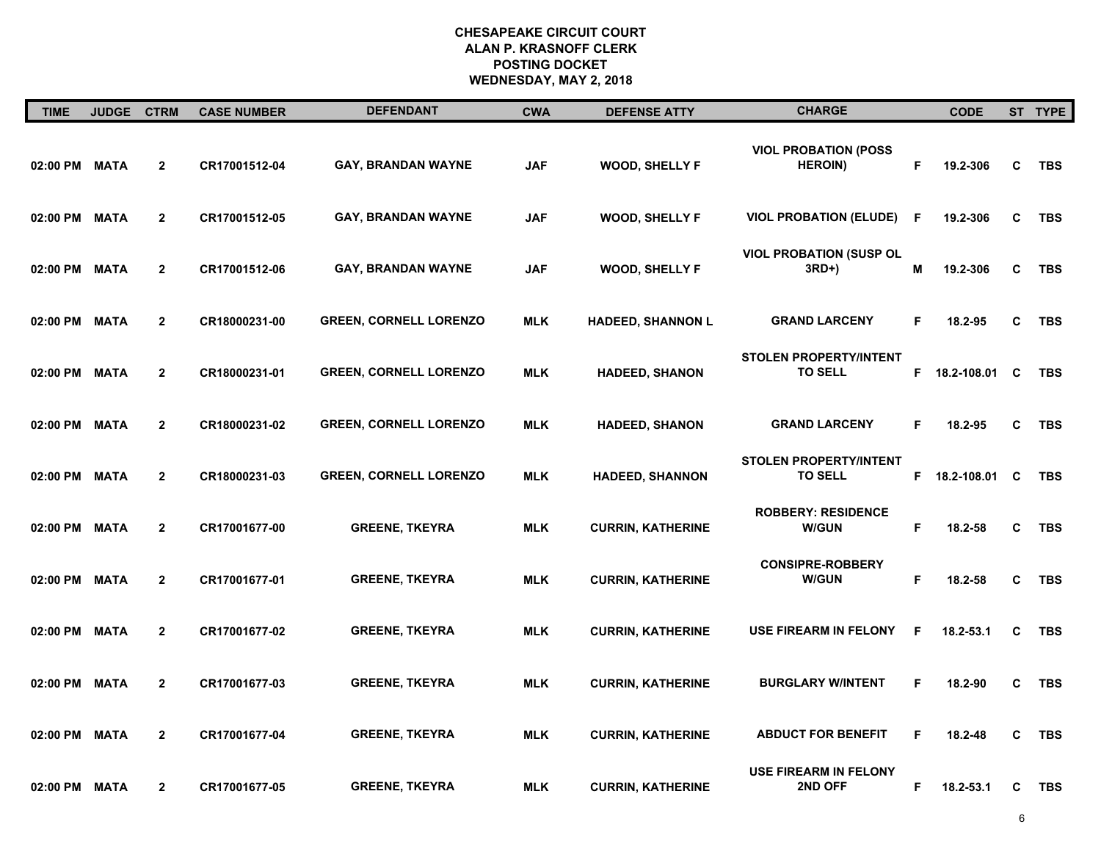| <b>TIME</b>   | <b>JUDGE</b> | <b>CTRM</b>    | <b>CASE NUMBER</b> | <b>DEFENDANT</b>              | <b>CWA</b> | <b>DEFENSE ATTY</b>      | <b>CHARGE</b>                                   |    | <b>CODE</b>     |          | ST TYPE    |
|---------------|--------------|----------------|--------------------|-------------------------------|------------|--------------------------|-------------------------------------------------|----|-----------------|----------|------------|
| 02:00 PM MATA |              | $\mathbf{2}$   | CR17001512-04      | GAY, BRANDAN WAYNE            | <b>JAF</b> | <b>WOOD, SHELLY F</b>    | <b>VIOL PROBATION (POSS</b><br><b>HEROIN)</b>   | F. | 19.2-306        | C        | <b>TBS</b> |
| 02:00 PM MATA |              | $\mathbf{2}$   | CR17001512-05      | <b>GAY, BRANDAN WAYNE</b>     | <b>JAF</b> | <b>WOOD, SHELLY F</b>    | <b>VIOL PROBATION (ELUDE)</b>                   | F  | 19.2-306        | C        | <b>TBS</b> |
| 02:00 PM MATA |              | $\overline{2}$ | CR17001512-06      | <b>GAY, BRANDAN WAYNE</b>     | <b>JAF</b> | <b>WOOD, SHELLY F</b>    | <b>VIOL PROBATION (SUSP OL</b><br>3RD+)         | М  | 19.2-306        | C        | <b>TBS</b> |
| 02:00 PM MATA |              | $\overline{2}$ | CR18000231-00      | <b>GREEN, CORNELL LORENZO</b> | <b>MLK</b> | <b>HADEED, SHANNON L</b> | <b>GRAND LARCENY</b>                            | F. | 18.2-95         | C        | <b>TBS</b> |
| 02:00 PM MATA |              | $\overline{2}$ | CR18000231-01      | <b>GREEN, CORNELL LORENZO</b> | <b>MLK</b> | <b>HADEED, SHANON</b>    | <b>STOLEN PROPERTY/INTENT</b><br><b>TO SELL</b> |    | F 18.2-108.01 C |          | <b>TBS</b> |
| 02:00 PM MATA |              | $\overline{2}$ | CR18000231-02      | <b>GREEN, CORNELL LORENZO</b> | <b>MLK</b> | <b>HADEED, SHANON</b>    | <b>GRAND LARCENY</b>                            | F  | 18.2-95         | C        | <b>TBS</b> |
| 02:00 PM MATA |              | $\overline{2}$ | CR18000231-03      | <b>GREEN, CORNELL LORENZO</b> | <b>MLK</b> | <b>HADEED, SHANNON</b>   | <b>STOLEN PROPERTY/INTENT</b><br><b>TO SELL</b> |    | F 18.2-108.01   | <b>C</b> | <b>TBS</b> |
| 02:00 PM MATA |              | $\overline{2}$ | CR17001677-00      | <b>GREENE, TKEYRA</b>         | <b>MLK</b> | <b>CURRIN, KATHERINE</b> | <b>ROBBERY: RESIDENCE</b><br><b>W/GUN</b>       | F  | 18.2-58         | C        | <b>TBS</b> |
| 02:00 PM MATA |              | $\mathbf{2}$   | CR17001677-01      | <b>GREENE, TKEYRA</b>         | <b>MLK</b> | <b>CURRIN, KATHERINE</b> | <b>CONSIPRE-ROBBERY</b><br><b>W/GUN</b>         | F  | 18.2-58         | C        | <b>TBS</b> |
| 02:00 PM MATA |              | $\overline{2}$ | CR17001677-02      | <b>GREENE, TKEYRA</b>         | <b>MLK</b> | <b>CURRIN, KATHERINE</b> | <b>USE FIREARM IN FELONY</b>                    | F  | 18.2-53.1       | C        | <b>TBS</b> |
| 02:00 PM MATA |              | $\mathbf{2}$   | CR17001677-03      | <b>GREENE, TKEYRA</b>         | <b>MLK</b> | <b>CURRIN, KATHERINE</b> | <b>BURGLARY W/INTENT</b>                        | F  | 18.2-90         | C        | <b>TBS</b> |
| 02:00 PM      | <b>MATA</b>  | $\mathbf{2}$   | CR17001677-04      | <b>GREENE, TKEYRA</b>         | <b>MLK</b> | <b>CURRIN, KATHERINE</b> | <b>ABDUCT FOR BENEFIT</b>                       | F  | 18.2-48         | C        | <b>TBS</b> |
| 02:00 PM MATA |              | $\mathbf{2}$   | CR17001677-05      | <b>GREENE, TKEYRA</b>         | <b>MLK</b> | <b>CURRIN, KATHERINE</b> | <b>USE FIREARM IN FELONY</b><br><b>2ND OFF</b>  | F. | 18.2-53.1       | C        | TBS        |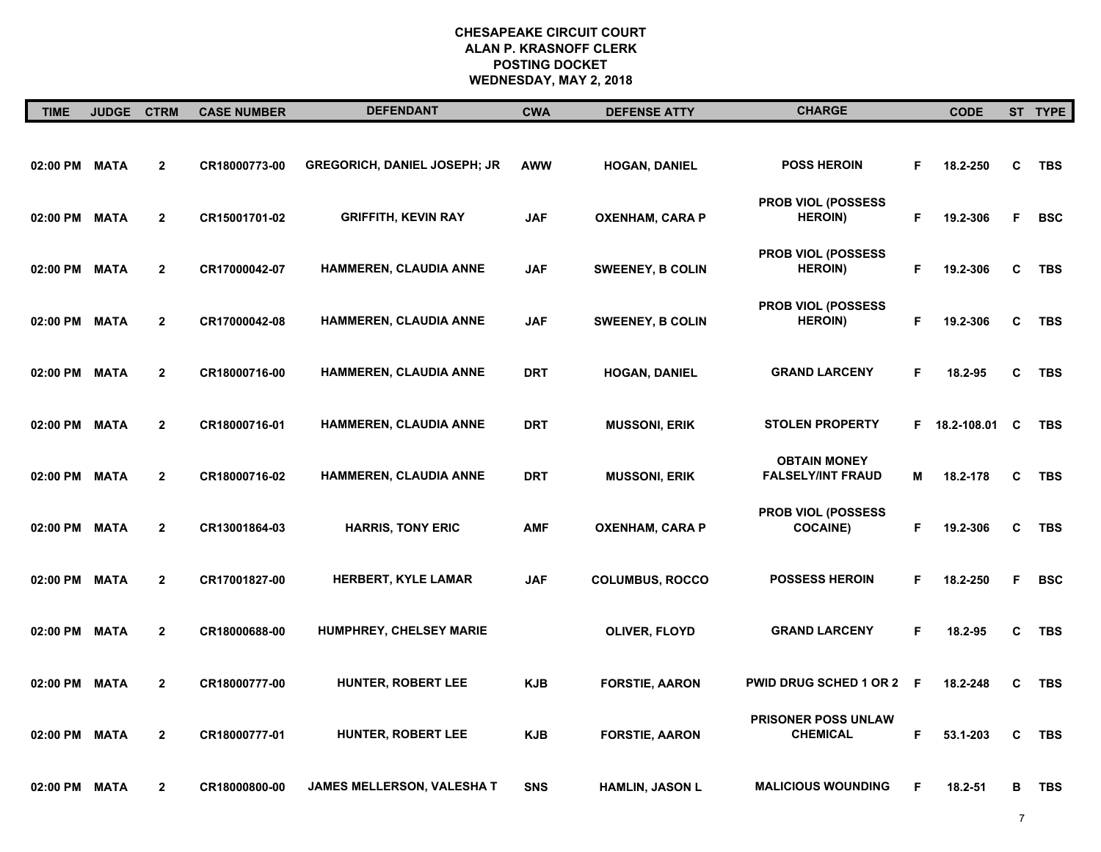| <b>TIME</b> | JUDGE CTRM  |                | <b>CASE NUMBER</b> | <b>DEFENDANT</b>                    | <b>CWA</b> | <b>DEFENSE ATTY</b>     | <b>CHARGE</b>                                   |     | <b>CODE</b>     |   | ST TYPE    |
|-------------|-------------|----------------|--------------------|-------------------------------------|------------|-------------------------|-------------------------------------------------|-----|-----------------|---|------------|
| 02:00 PM    | <b>MATA</b> | $\mathbf 2$    | CR18000773-00      | <b>GREGORICH, DANIEL JOSEPH; JR</b> | <b>AWW</b> | <b>HOGAN, DANIEL</b>    | <b>POSS HEROIN</b>                              | F   | 18.2-250        | C | TBS        |
| 02:00 PM    | <b>MATA</b> | $\overline{2}$ | CR15001701-02      | <b>GRIFFITH, KEVIN RAY</b>          | <b>JAF</b> | <b>OXENHAM, CARA P</b>  | <b>PROB VIOL (POSSESS)</b><br><b>HEROIN)</b>    | F.  | 19.2-306        | F | <b>BSC</b> |
| 02:00 PM    | <b>MATA</b> | $\mathbf{2}$   | CR17000042-07      | <b>HAMMEREN, CLAUDIA ANNE</b>       | <b>JAF</b> | <b>SWEENEY, B COLIN</b> | PROB VIOL (POSSESS<br><b>HEROIN</b> )           | F.  | 19.2-306        | C | <b>TBS</b> |
| 02:00 PM    | <b>MATA</b> | $\mathbf{2}$   | CR17000042-08      | <b>HAMMEREN, CLAUDIA ANNE</b>       | <b>JAF</b> | <b>SWEENEY, B COLIN</b> | PROB VIOL (POSSESS<br><b>HEROIN)</b>            | F.  | 19.2-306        | C | <b>TBS</b> |
| 02:00 PM    | <b>MATA</b> | $\mathbf{2}$   | CR18000716-00      | <b>HAMMEREN, CLAUDIA ANNE</b>       | <b>DRT</b> | <b>HOGAN, DANIEL</b>    | <b>GRAND LARCENY</b>                            | F.  | 18.2-95         | C | <b>TBS</b> |
| 02:00 PM    | <b>MATA</b> | $\mathbf{2}$   | CR18000716-01      | HAMMEREN, CLAUDIA ANNE              | <b>DRT</b> | <b>MUSSONI, ERIK</b>    | <b>STOLEN PROPERTY</b>                          |     | F 18.2-108.01 C |   | <b>TBS</b> |
| 02:00 PM    | <b>MATA</b> | $\mathbf{2}$   | CR18000716-02      | <b>HAMMEREN, CLAUDIA ANNE</b>       | <b>DRT</b> | <b>MUSSONI, ERIK</b>    | <b>OBTAIN MONEY</b><br><b>FALSELY/INT FRAUD</b> | Μ   | 18.2-178        | C | <b>TBS</b> |
| 02:00 PM    | <b>MATA</b> | $\overline{2}$ | CR13001864-03      | <b>HARRIS, TONY ERIC</b>            | <b>AMF</b> | OXENHAM, CARA P         | PROB VIOL (POSSESS<br><b>COCAINE)</b>           | F.  | 19.2-306        | C | <b>TBS</b> |
| 02:00 PM    | <b>MATA</b> | $\mathbf{2}$   | CR17001827-00      | HERBERT, KYLE LAMAR                 | <b>JAF</b> | <b>COLUMBUS, ROCCO</b>  | <b>POSSESS HEROIN</b>                           | F.  | 18.2-250        | F | <b>BSC</b> |
| 02:00 PM    | <b>MATA</b> | $\mathbf{2}$   | CR18000688-00      | HUMPHREY, CHELSEY MARIE             |            | OLIVER, FLOYD           | <b>GRAND LARCENY</b>                            | F.  | 18.2-95         | C | TBS        |
| 02:00 PM    | <b>MATA</b> | $\overline{2}$ | CR18000777-00      | <b>HUNTER, ROBERT LEE</b>           | KJB        | <b>FORSTIE, AARON</b>   | <b>PWID DRUG SCHED 1 OR 2</b>                   | - F | 18.2-248        | C | <b>TBS</b> |
| 02:00 PM    | <b>MATA</b> | $\mathbf{2}$   | CR18000777-01      | <b>HUNTER, ROBERT LEE</b>           | <b>KJB</b> | <b>FORSTIE, AARON</b>   | PRISONER POSS UNLAW<br><b>CHEMICAL</b>          | F   | 53.1-203        | C | <b>TBS</b> |
| 02:00 PM    | <b>MATA</b> | $\mathbf{2}$   | CR18000800-00      | JAMES MELLERSON, VALESHA T          | <b>SNS</b> | HAMLIN, JASON L         | <b>MALICIOUS WOUNDING</b>                       | F   | 18.2-51         | в | <b>TBS</b> |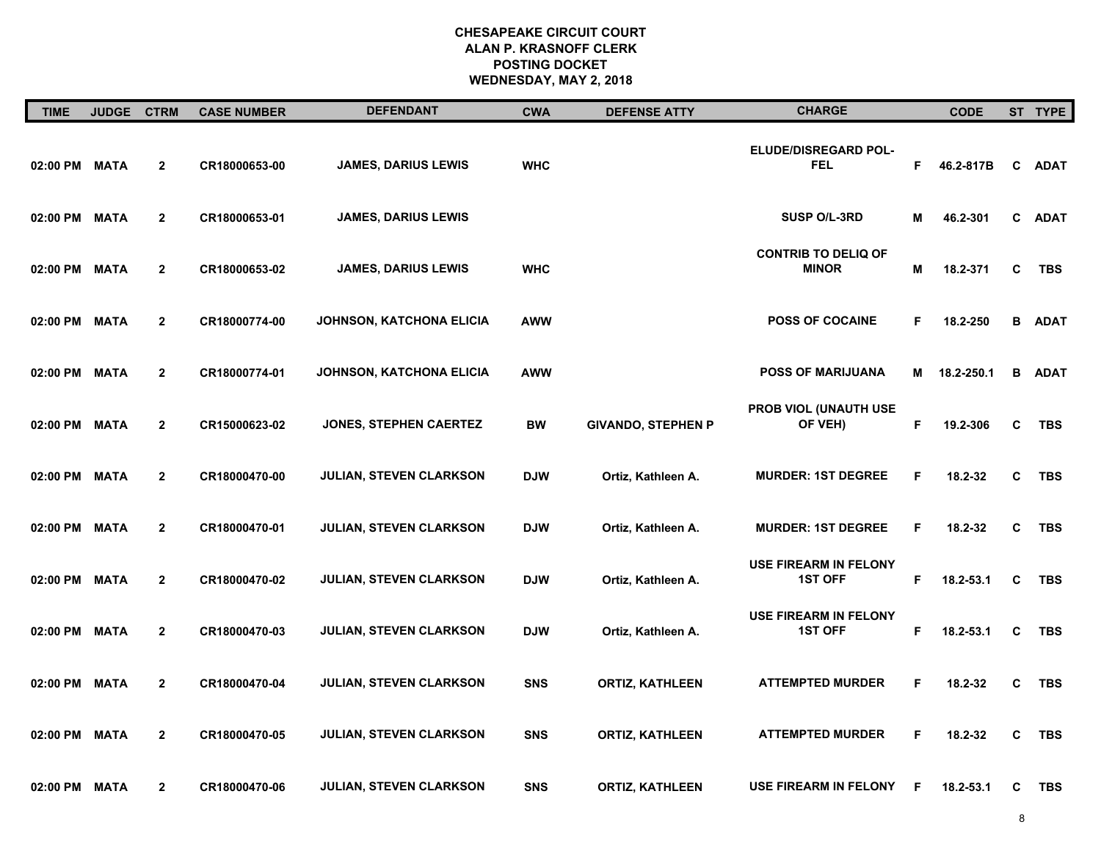| <b>TIME</b>   | <b>JUDGE</b> | <b>CTRM</b>    | <b>CASE NUMBER</b> | <b>DEFENDANT</b>                | <b>CWA</b> | <b>DEFENSE ATTY</b>       | <b>CHARGE</b>                                  |    | <b>CODE</b> |   | ST TYPE       |
|---------------|--------------|----------------|--------------------|---------------------------------|------------|---------------------------|------------------------------------------------|----|-------------|---|---------------|
| 02:00 PM MATA |              | $\overline{2}$ | CR18000653-00      | <b>JAMES, DARIUS LEWIS</b>      | <b>WHC</b> |                           | ELUDE/DISREGARD POL-<br><b>FEL</b>             | F. | 46.2-817B   | C | <b>ADAT</b>   |
| 02:00 PM      | <b>MATA</b>  | $\mathbf{2}$   | CR18000653-01      | <b>JAMES, DARIUS LEWIS</b>      |            |                           | <b>SUSP O/L-3RD</b>                            | Μ  | 46.2-301    | C | <b>ADAT</b>   |
| 02:00 PM MATA |              | $\mathbf{2}$   | CR18000653-02      | JAMES, DARIUS LEWIS             | <b>WHC</b> |                           | <b>CONTRIB TO DELIQ OF</b><br><b>MINOR</b>     | Μ  | 18.2-371    | C | TBS           |
| 02:00 PM MATA |              | $\mathbf{2}$   | CR18000774-00      | <b>JOHNSON, KATCHONA ELICIA</b> | <b>AWW</b> |                           | <b>POSS OF COCAINE</b>                         | F. | 18.2-250    |   | <b>B</b> ADAT |
| 02:00 PM MATA |              | $\mathbf{2}$   | CR18000774-01      | JOHNSON, KATCHONA ELICIA        | <b>AWW</b> |                           | <b>POSS OF MARIJUANA</b>                       | M  | 18.2-250.1  | B | <b>ADAT</b>   |
| 02:00 PM MATA |              | $\overline{2}$ | CR15000623-02      | JONES, STEPHEN CAERTEZ          | <b>BW</b>  | <b>GIVANDO, STEPHEN P</b> | <b>PROB VIOL (UNAUTH USE</b><br>OF VEH)        | F. | 19.2-306    | C | TBS           |
| 02:00 PM MATA |              | $\mathbf{2}$   | CR18000470-00      | <b>JULIAN, STEVEN CLARKSON</b>  | <b>DJW</b> | Ortiz, Kathleen A.        | <b>MURDER: 1ST DEGREE</b>                      | F  | 18.2-32     | C | <b>TBS</b>    |
| 02:00 PM MATA |              | $\overline{2}$ | CR18000470-01      | <b>JULIAN, STEVEN CLARKSON</b>  | <b>DJW</b> | Ortiz, Kathleen A.        | <b>MURDER: 1ST DEGREE</b>                      | F. | 18.2-32     | C | <b>TBS</b>    |
| 02:00 PM MATA |              | $\overline{2}$ | CR18000470-02      | JULIAN, STEVEN CLARKSON         | <b>DJW</b> | Ortiz, Kathleen A.        | <b>USE FIREARM IN FELONY</b><br><b>1ST OFF</b> | F. | 18.2-53.1   | C | <b>TBS</b>    |
| 02:00 PM MATA |              | $\mathbf{2}$   | CR18000470-03      | <b>JULIAN, STEVEN CLARKSON</b>  | <b>DJW</b> | Ortiz, Kathleen A.        | <b>USE FIREARM IN FELONY</b><br><b>1ST OFF</b> | F. | 18.2-53.1   | C | TBS           |
| 02:00 PM MATA |              | $\mathbf{2}$   | CR18000470-04      | <b>JULIAN, STEVEN CLARKSON</b>  | <b>SNS</b> | <b>ORTIZ, KATHLEEN</b>    | <b>ATTEMPTED MURDER</b>                        | F  | 18.2-32     | C | <b>TBS</b>    |
| 02:00 PM MATA |              | $\mathbf{2}$   | CR18000470-05      | <b>JULIAN, STEVEN CLARKSON</b>  | <b>SNS</b> | <b>ORTIZ, KATHLEEN</b>    | <b>ATTEMPTED MURDER</b>                        | F. | 18.2-32     | C | <b>TBS</b>    |
| 02:00 PM MATA |              | $\mathbf{2}$   | CR18000470-06      | <b>JULIAN, STEVEN CLARKSON</b>  | <b>SNS</b> | <b>ORTIZ, KATHLEEN</b>    | USE FIREARM IN FELONY                          | F  | 18.2-53.1   | C | TBS           |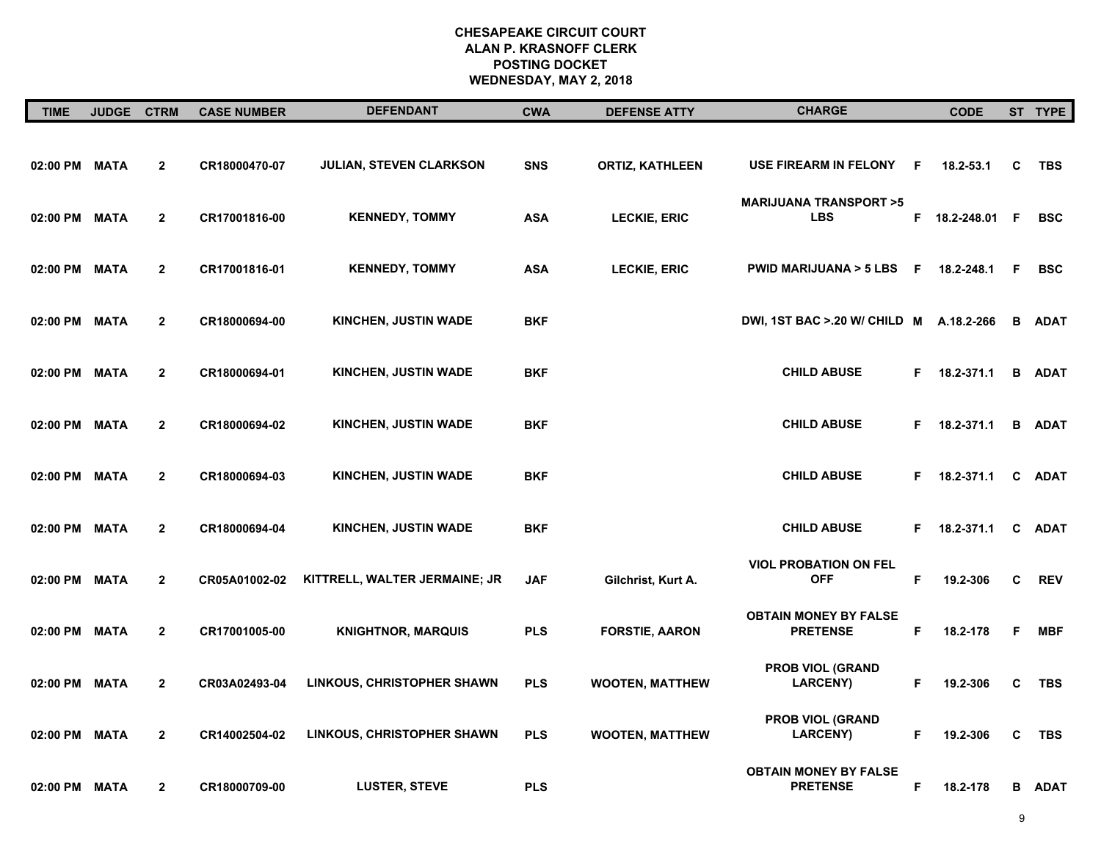| <b>TIME</b>   | <b>JUDGE</b> | <b>CTRM</b>    | <b>CASE NUMBER</b> | <b>DEFENDANT</b>                  | <b>CWA</b> | <b>DEFENSE ATTY</b>    | <b>CHARGE</b>                                   |    | <b>CODE</b>   |     | ST TYPE       |
|---------------|--------------|----------------|--------------------|-----------------------------------|------------|------------------------|-------------------------------------------------|----|---------------|-----|---------------|
| 02:00 PM      | <b>MATA</b>  | $\mathbf 2$    | CR18000470-07      | <b>JULIAN, STEVEN CLARKSON</b>    | <b>SNS</b> | <b>ORTIZ, KATHLEEN</b> | <b>USE FIREARM IN FELONY</b>                    | F  | 18.2-53.1     | C   | TBS           |
| 02:00 PM      | <b>MATA</b>  | $\overline{2}$ | CR17001816-00      | <b>KENNEDY, TOMMY</b>             | <b>ASA</b> | LECKIE, ERIC           | <b>MARIJUANA TRANSPORT &gt;5</b><br><b>LBS</b>  |    | F 18.2-248.01 | - F | <b>BSC</b>    |
| 02:00 PM      | <b>MATA</b>  | $\mathbf{2}$   | CR17001816-01      | <b>KENNEDY, TOMMY</b>             | <b>ASA</b> | <b>LECKIE, ERIC</b>    | PWID MARIJUANA > 5 LBS F                        |    | 18.2-248.1    | F   | <b>BSC</b>    |
| 02:00 PM      | <b>MATA</b>  | $\mathbf{2}$   | CR18000694-00      | <b>KINCHEN, JUSTIN WADE</b>       | <b>BKF</b> |                        | DWI, 1ST BAC > 20 W/ CHILD M A.18.2-266         |    |               | B   | <b>ADAT</b>   |
| 02:00 PM MATA |              | $\mathbf{2}$   | CR18000694-01      | <b>KINCHEN, JUSTIN WADE</b>       | <b>BKF</b> |                        | <b>CHILD ABUSE</b>                              |    | F 18.2-371.1  | В   | <b>ADAT</b>   |
| 02:00 PM      | <b>MATA</b>  | $\overline{2}$ | CR18000694-02      | <b>KINCHEN, JUSTIN WADE</b>       | <b>BKF</b> |                        | <b>CHILD ABUSE</b>                              |    | F 18.2-371.1  |     | <b>B</b> ADAT |
| 02:00 PM      | <b>MATA</b>  | $\mathbf{2}$   | CR18000694-03      | <b>KINCHEN, JUSTIN WADE</b>       | <b>BKF</b> |                        | <b>CHILD ABUSE</b>                              |    | F 18.2-371.1  | C   | <b>ADAT</b>   |
| 02:00 PM      | <b>MATA</b>  | $\overline{2}$ | CR18000694-04      | <b>KINCHEN, JUSTIN WADE</b>       | <b>BKF</b> |                        | <b>CHILD ABUSE</b>                              |    | F 18.2-371.1  | C   | <b>ADAT</b>   |
| 02:00 PM MATA |              | $\mathbf{2}$   | CR05A01002-02      | KITTRELL, WALTER JERMAINE; JR     | <b>JAF</b> | Gilchrist, Kurt A.     | <b>VIOL PROBATION ON FEL</b><br><b>OFF</b>      | F  | 19.2-306      | C   | <b>REV</b>    |
| 02:00 PM      | <b>MATA</b>  | $\mathbf{2}$   | CR17001005-00      | <b>KNIGHTNOR, MARQUIS</b>         | <b>PLS</b> | <b>FORSTIE, AARON</b>  | <b>OBTAIN MONEY BY FALSE</b><br><b>PRETENSE</b> | F. | 18.2-178      | F   | <b>MBF</b>    |
| 02:00 PM      | MATA         | $\mathbf{2}$   | CR03A02493-04      | LINKOUS, CHRISTOPHER SHAWN        | <b>PLS</b> | <b>WOOTEN, MATTHEW</b> | <b>PROB VIOL (GRAND</b><br><b>LARCENY)</b>      | F. | 19.2-306      | C   | <b>TBS</b>    |
| 02:00 PM      | <b>MATA</b>  | $\mathbf{2}$   | CR14002504-02      | <b>LINKOUS, CHRISTOPHER SHAWN</b> | <b>PLS</b> | <b>WOOTEN, MATTHEW</b> | <b>PROB VIOL (GRAND</b><br><b>LARCENY)</b>      | F. | 19.2-306      | C   | <b>TBS</b>    |
| 02:00 PM MATA |              | $\mathbf 2$    | CR18000709-00      | <b>LUSTER, STEVE</b>              | <b>PLS</b> |                        | <b>OBTAIN MONEY BY FALSE</b><br><b>PRETENSE</b> | F  | 18.2-178      | В   | <b>ADAT</b>   |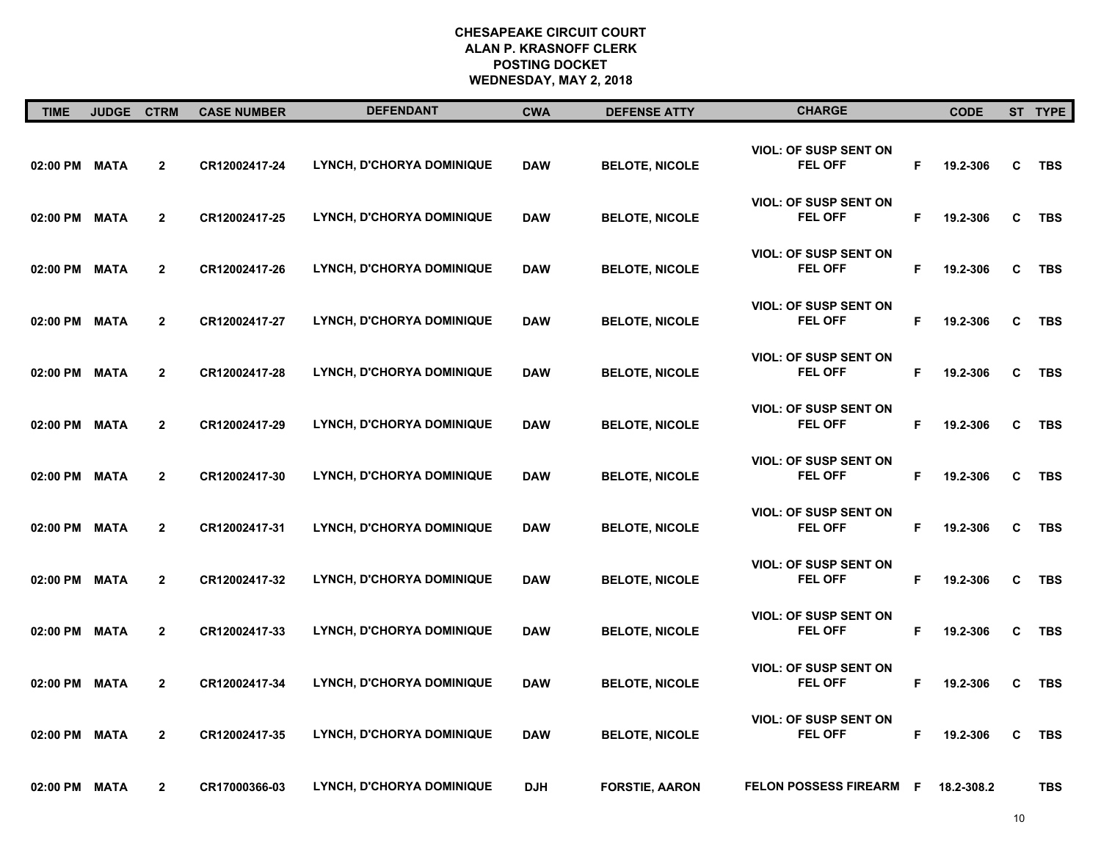| <b>TIME</b>   | <b>JUDGE CTRM</b> |                | <b>CASE NUMBER</b> | <b>DEFENDANT</b>                 | <b>CWA</b> | <b>DEFENSE ATTY</b>   | <b>CHARGE</b>                                  |    | <b>CODE</b> |   | ST TYPE    |
|---------------|-------------------|----------------|--------------------|----------------------------------|------------|-----------------------|------------------------------------------------|----|-------------|---|------------|
| 02:00 PM      | <b>MATA</b>       | $\mathbf{2}$   | CR12002417-24      | LYNCH, D'CHORYA DOMINIQUE        | <b>DAW</b> | <b>BELOTE, NICOLE</b> | <b>VIOL: OF SUSP SENT ON</b><br><b>FEL OFF</b> | F. | 19.2-306    | C | <b>TBS</b> |
| 02:00 PM      | <b>MATA</b>       | $\overline{2}$ | CR12002417-25      | LYNCH, D'CHORYA DOMINIQUE        | <b>DAW</b> | <b>BELOTE, NICOLE</b> | <b>VIOL: OF SUSP SENT ON</b><br><b>FEL OFF</b> | F  | 19.2-306    | C | <b>TBS</b> |
| 02:00 PM      | <b>MATA</b>       | $\overline{2}$ | CR12002417-26      | LYNCH, D'CHORYA DOMINIQUE        | <b>DAW</b> | <b>BELOTE, NICOLE</b> | <b>VIOL: OF SUSP SENT ON</b><br><b>FEL OFF</b> | F  | 19.2-306    | C | <b>TBS</b> |
| 02:00 PM      | <b>MATA</b>       | $\overline{2}$ | CR12002417-27      | LYNCH, D'CHORYA DOMINIQUE        | <b>DAW</b> | <b>BELOTE, NICOLE</b> | <b>VIOL: OF SUSP SENT ON</b><br><b>FEL OFF</b> | F. | 19.2-306    | C | <b>TBS</b> |
| 02:00 PM MATA |                   | $\overline{2}$ | CR12002417-28      | LYNCH, D'CHORYA DOMINIQUE        | <b>DAW</b> | <b>BELOTE, NICOLE</b> | <b>VIOL: OF SUSP SENT ON</b><br><b>FEL OFF</b> | F. | 19.2-306    | C | <b>TBS</b> |
| 02:00 PM      | <b>MATA</b>       | $\overline{2}$ | CR12002417-29      | LYNCH, D'CHORYA DOMINIQUE        | <b>DAW</b> | <b>BELOTE, NICOLE</b> | <b>VIOL: OF SUSP SENT ON</b><br><b>FEL OFF</b> | F. | 19.2-306    | C | TBS        |
| 02:00 PM      | <b>MATA</b>       | $\overline{2}$ | CR12002417-30      | LYNCH, D'CHORYA DOMINIQUE        | <b>DAW</b> | <b>BELOTE, NICOLE</b> | <b>VIOL: OF SUSP SENT ON</b><br><b>FEL OFF</b> | F. | 19.2-306    | C | <b>TBS</b> |
| 02:00 PM      | <b>MATA</b>       | $\overline{2}$ | CR12002417-31      | LYNCH, D'CHORYA DOMINIQUE        | <b>DAW</b> | <b>BELOTE, NICOLE</b> | <b>VIOL: OF SUSP SENT ON</b><br>FEL OFF        | F  | 19.2-306    | C | TBS        |
| 02:00 PM      | <b>MATA</b>       | $\overline{2}$ | CR12002417-32      | LYNCH, D'CHORYA DOMINIQUE        | <b>DAW</b> | <b>BELOTE, NICOLE</b> | <b>VIOL: OF SUSP SENT ON</b><br><b>FEL OFF</b> | F. | 19.2-306    | C | <b>TBS</b> |
| 02:00 PM      | <b>MATA</b>       | $\overline{2}$ | CR12002417-33      | LYNCH, D'CHORYA DOMINIQUE        | <b>DAW</b> | <b>BELOTE, NICOLE</b> | <b>VIOL: OF SUSP SENT ON</b><br><b>FEL OFF</b> | F. | 19.2-306    | C | TBS        |
| 02:00 PM      | <b>MATA</b>       | $\overline{2}$ | CR12002417-34      | LYNCH, D'CHORYA DOMINIQUE        | <b>DAW</b> | <b>BELOTE, NICOLE</b> | <b>VIOL: OF SUSP SENT ON</b><br><b>FEL OFF</b> | F. | 19.2-306    | C | <b>TBS</b> |
| 02:00 PM      | <b>MATA</b>       | $\mathbf{2}$   | CR12002417-35      | LYNCH, D'CHORYA DOMINIQUE        | <b>DAW</b> | <b>BELOTE, NICOLE</b> | <b>VIOL: OF SUSP SENT ON</b><br><b>FEL OFF</b> | F  | 19.2-306    | C | TBS        |
| 02:00 PM      | <b>MATA</b>       | $\mathbf{2}$   | CR17000366-03      | <b>LYNCH, D'CHORYA DOMINIQUE</b> | <b>DJH</b> | <b>FORSTIE, AARON</b> | <b>FELON POSSESS FIREARM</b>                   | F. | 18.2-308.2  |   | <b>TBS</b> |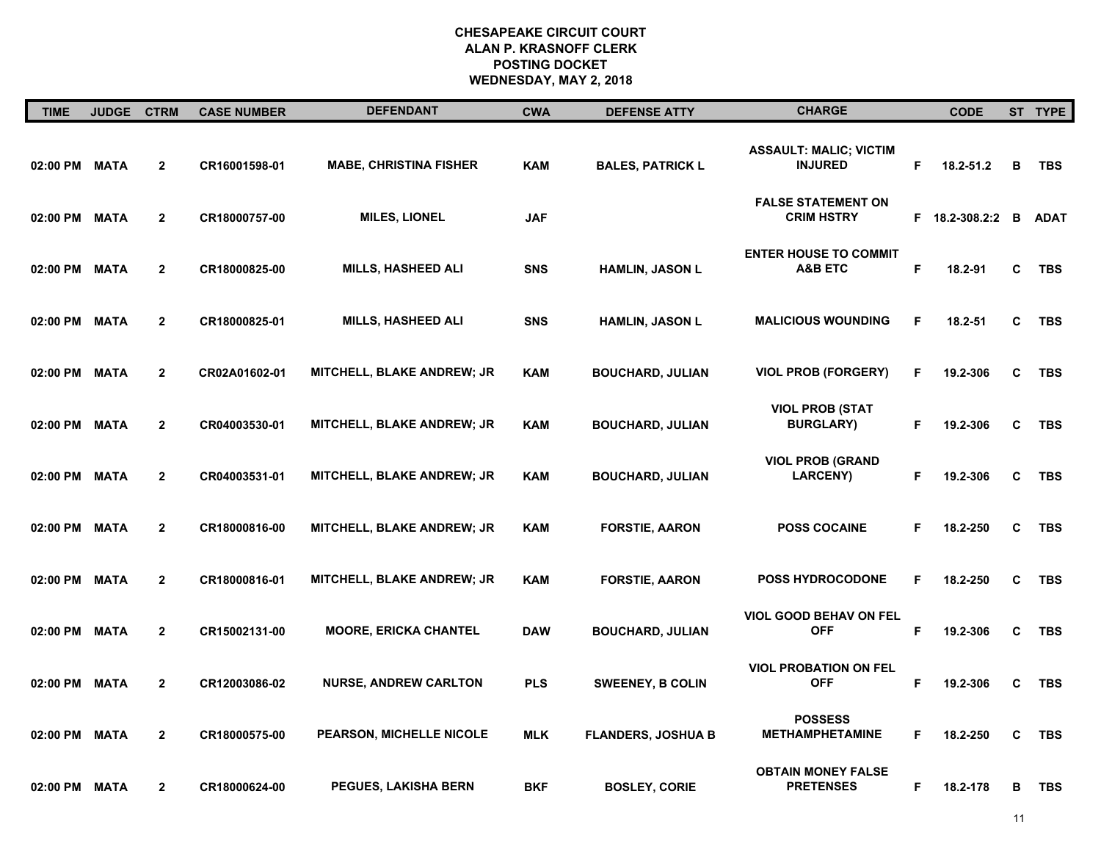| <b>TIME</b>   | <b>JUDGE</b> | <b>CTRM</b>    | <b>CASE NUMBER</b> | <b>DEFENDANT</b>                  | <b>CWA</b> | <b>DEFENSE ATTY</b>       | <b>CHARGE</b>                                      |    | <b>CODE</b>  |   | ST TYPE     |
|---------------|--------------|----------------|--------------------|-----------------------------------|------------|---------------------------|----------------------------------------------------|----|--------------|---|-------------|
| 02:00 PM MATA |              | $\mathbf{2}$   | CR16001598-01      | <b>MABE, CHRISTINA FISHER</b>     | <b>KAM</b> | <b>BALES, PATRICK L</b>   | <b>ASSAULT: MALIC; VICTIM</b><br><b>INJURED</b>    | F  | 18.2-51.2    | В | <b>TBS</b>  |
| 02:00 PM      | <b>MATA</b>  | $\overline{2}$ | CR18000757-00      | <b>MILES, LIONEL</b>              | <b>JAF</b> |                           | <b>FALSE STATEMENT ON</b><br><b>CRIM HSTRY</b>     | F. | 18.2-308.2:2 | B | <b>ADAT</b> |
| 02:00 PM MATA |              | $\mathbf{2}$   | CR18000825-00      | <b>MILLS, HASHEED ALI</b>         | <b>SNS</b> | <b>HAMLIN, JASON L</b>    | <b>ENTER HOUSE TO COMMIT</b><br><b>A&amp;B ETC</b> | F  | 18.2-91      | C | <b>TBS</b>  |
| 02:00 PM      | <b>MATA</b>  | $\overline{2}$ | CR18000825-01      | <b>MILLS, HASHEED ALI</b>         | <b>SNS</b> | <b>HAMLIN, JASON L</b>    | <b>MALICIOUS WOUNDING</b>                          | F  | 18.2-51      | C | <b>TBS</b>  |
| 02:00 PM      | <b>MATA</b>  | $\mathbf{2}$   | CR02A01602-01      | MITCHELL, BLAKE ANDREW; JR        | <b>KAM</b> | <b>BOUCHARD, JULIAN</b>   | <b>VIOL PROB (FORGERY)</b>                         | F  | 19.2-306     | C | <b>TBS</b>  |
| 02:00 PM      | <b>MATA</b>  | $\overline{2}$ | CR04003530-01      | MITCHELL, BLAKE ANDREW; JR        | <b>KAM</b> | <b>BOUCHARD, JULIAN</b>   | <b>VIOL PROB (STAT</b><br><b>BURGLARY)</b>         | F  | 19.2-306     | C | <b>TBS</b>  |
| 02:00 PM MATA |              | $\mathbf{2}$   | CR04003531-01      | <b>MITCHELL, BLAKE ANDREW; JR</b> | <b>KAM</b> | <b>BOUCHARD, JULIAN</b>   | <b>VIOL PROB (GRAND</b><br><b>LARCENY)</b>         | F  | 19.2-306     | C | <b>TBS</b>  |
| 02:00 PM      | <b>MATA</b>  | $\overline{2}$ | CR18000816-00      | <b>MITCHELL, BLAKE ANDREW; JR</b> | <b>KAM</b> | <b>FORSTIE, AARON</b>     | <b>POSS COCAINE</b>                                | F  | 18.2-250     | C | <b>TBS</b>  |
| 02:00 PM MATA |              | $\mathbf{2}$   | CR18000816-01      | MITCHELL, BLAKE ANDREW; JR        | <b>KAM</b> | <b>FORSTIE, AARON</b>     | <b>POSS HYDROCODONE</b>                            | F  | 18.2-250     | C | <b>TBS</b>  |
| 02:00 PM MATA |              | $\mathbf{2}$   | CR15002131-00      | <b>MOORE, ERICKA CHANTEL</b>      | <b>DAW</b> | <b>BOUCHARD, JULIAN</b>   | VIOL GOOD BEHAV ON FEL<br><b>OFF</b>               | F  | 19.2-306     | C | <b>TBS</b>  |
| 02:00 PM MATA |              | $\mathbf{2}$   | CR12003086-02      | <b>NURSE, ANDREW CARLTON</b>      | <b>PLS</b> | <b>SWEENEY, B COLIN</b>   | <b>VIOL PROBATION ON FEL</b><br><b>OFF</b>         | F  | 19.2-306     | C | <b>TBS</b>  |
| 02:00 PM      | <b>MATA</b>  | $\overline{2}$ | CR18000575-00      | <b>PEARSON, MICHELLE NICOLE</b>   | <b>MLK</b> | <b>FLANDERS, JOSHUA B</b> | <b>POSSESS</b><br><b>METHAMPHETAMINE</b>           | F  | 18.2-250     | С | <b>TBS</b>  |
| 02:00 PM MATA |              | $\overline{2}$ | CR18000624-00      | <b>PEGUES, LAKISHA BERN</b>       | BKF        | <b>BOSLEY, CORIE</b>      | <b>OBTAIN MONEY FALSE</b><br><b>PRETENSES</b>      | F  | 18.2-178     | в | <b>TBS</b>  |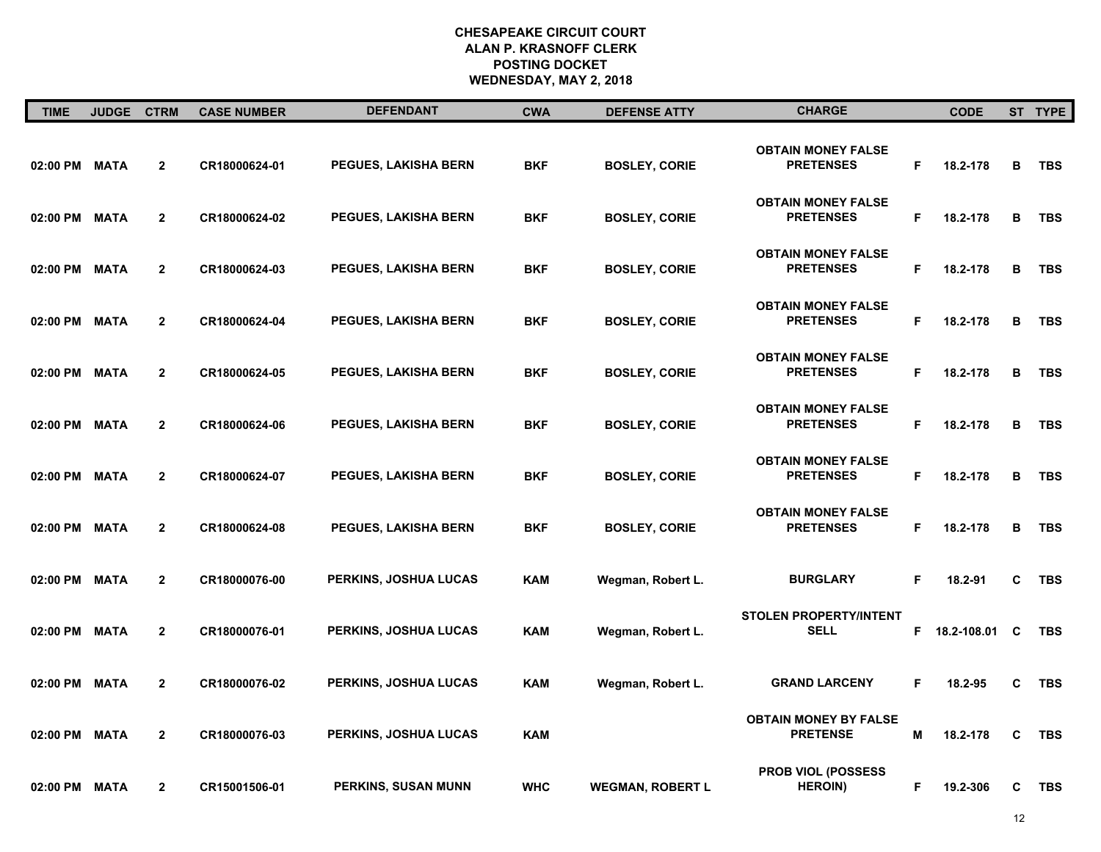| <b>TIME</b>   | <b>JUDGE</b> | <b>CTRM</b>    | <b>CASE NUMBER</b> | <b>DEFENDANT</b>             | <b>CWA</b> | <b>DEFENSE ATTY</b>     | <b>CHARGE</b>                                   |    | <b>CODE</b> |   | ST TYPE    |
|---------------|--------------|----------------|--------------------|------------------------------|------------|-------------------------|-------------------------------------------------|----|-------------|---|------------|
| 02:00 PM MATA |              | $\overline{2}$ | CR18000624-01      | <b>PEGUES, LAKISHA BERN</b>  | BKF        | <b>BOSLEY, CORIE</b>    | <b>OBTAIN MONEY FALSE</b><br><b>PRETENSES</b>   | F. | 18.2-178    | в | TBS        |
| 02:00 PM MATA |              | $\overline{2}$ | CR18000624-02      | <b>PEGUES, LAKISHA BERN</b>  | <b>BKF</b> | <b>BOSLEY, CORIE</b>    | <b>OBTAIN MONEY FALSE</b><br><b>PRETENSES</b>   | F  | 18.2-178    | в | <b>TBS</b> |
| 02:00 PM MATA |              | $\overline{2}$ | CR18000624-03      | <b>PEGUES, LAKISHA BERN</b>  | <b>BKF</b> | <b>BOSLEY, CORIE</b>    | <b>OBTAIN MONEY FALSE</b><br><b>PRETENSES</b>   | F. | 18.2-178    | в | <b>TBS</b> |
| 02:00 PM MATA |              | $\overline{2}$ | CR18000624-04      | <b>PEGUES, LAKISHA BERN</b>  | <b>BKF</b> | <b>BOSLEY, CORIE</b>    | <b>OBTAIN MONEY FALSE</b><br><b>PRETENSES</b>   | F  | 18.2-178    | в | <b>TBS</b> |
| 02:00 PM MATA |              | $\overline{2}$ | CR18000624-05      | <b>PEGUES, LAKISHA BERN</b>  | <b>BKF</b> | <b>BOSLEY, CORIE</b>    | <b>OBTAIN MONEY FALSE</b><br><b>PRETENSES</b>   | F  | 18.2-178    | B | <b>TBS</b> |
| 02:00 PM MATA |              | $\mathbf{2}$   | CR18000624-06      | <b>PEGUES, LAKISHA BERN</b>  | BKF        | <b>BOSLEY, CORIE</b>    | <b>OBTAIN MONEY FALSE</b><br><b>PRETENSES</b>   | F  | 18.2-178    | в | <b>TBS</b> |
| 02:00 PM MATA |              | $\overline{2}$ | CR18000624-07      | <b>PEGUES, LAKISHA BERN</b>  | <b>BKF</b> | <b>BOSLEY, CORIE</b>    | <b>OBTAIN MONEY FALSE</b><br><b>PRETENSES</b>   | F. | 18.2-178    | в | <b>TBS</b> |
| 02:00 PM MATA |              | $\overline{2}$ | CR18000624-08      | <b>PEGUES, LAKISHA BERN</b>  | <b>BKF</b> | <b>BOSLEY, CORIE</b>    | <b>OBTAIN MONEY FALSE</b><br><b>PRETENSES</b>   | F  | 18.2-178    | в | <b>TBS</b> |
| 02:00 PM MATA |              | $\mathbf{2}$   | CR18000076-00      | PERKINS, JOSHUA LUCAS        | <b>KAM</b> | Wegman, Robert L.       | <b>BURGLARY</b>                                 | F. | 18.2-91     | C | <b>TBS</b> |
| 02:00 PM MATA |              | $\mathbf{2}$   | CR18000076-01      | PERKINS, JOSHUA LUCAS        | <b>KAM</b> | Wegman, Robert L.       | <b>STOLEN PROPERTY/INTENT</b><br><b>SELL</b>    | F. | 18.2-108.01 | C | <b>TBS</b> |
| 02:00 PM MATA |              | $\mathbf{2}$   | CR18000076-02      | <b>PERKINS, JOSHUA LUCAS</b> | <b>KAM</b> | Wegman, Robert L.       | <b>GRAND LARCENY</b>                            | F. | 18.2-95     | C | <b>TBS</b> |
| 02:00 PM      | <b>MATA</b>  | $\mathbf{2}$   | CR18000076-03      | <b>PERKINS, JOSHUA LUCAS</b> | <b>KAM</b> |                         | <b>OBTAIN MONEY BY FALSE</b><br><b>PRETENSE</b> | M  | 18.2-178    | C | <b>TBS</b> |
| 02:00 PM MATA |              | $\mathbf{2}$   | CR15001506-01      | <b>PERKINS, SUSAN MUNN</b>   | <b>WHC</b> | <b>WEGMAN, ROBERT L</b> | PROB VIOL (POSSESS<br><b>HEROIN</b> )           | F  | 19.2-306    | С | <b>TBS</b> |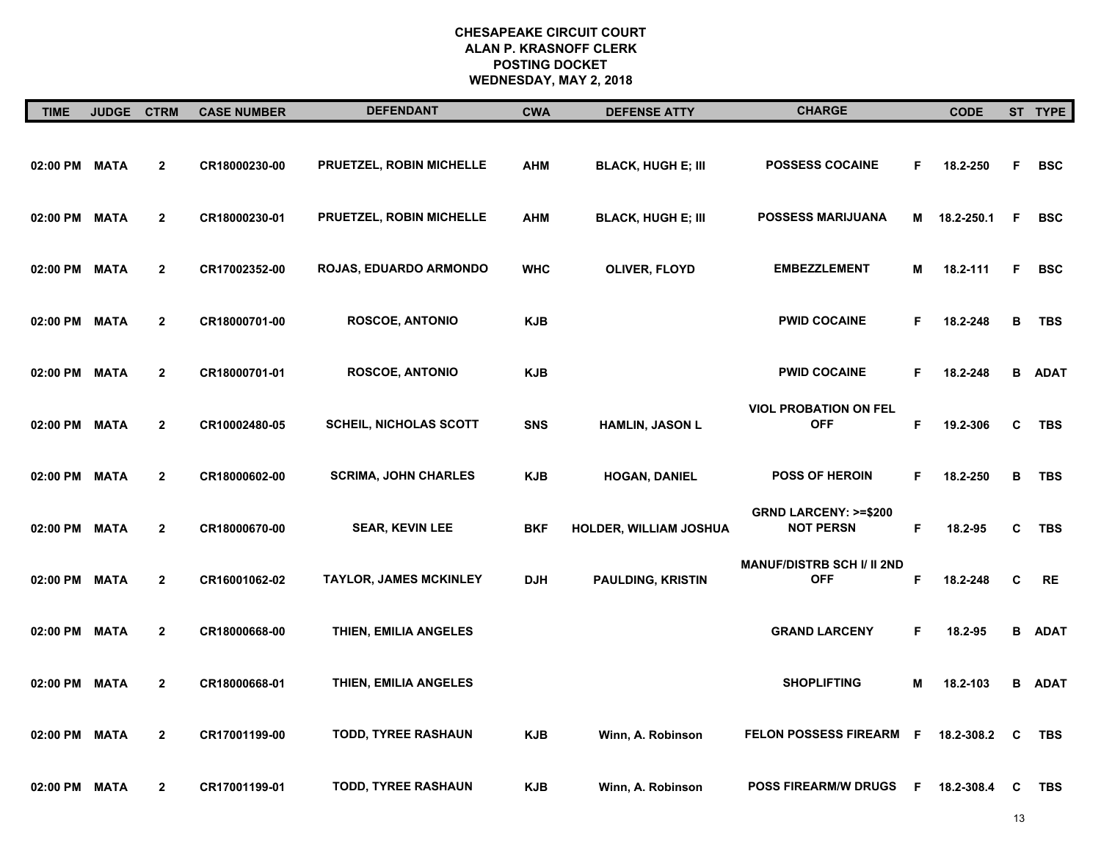| <b>TIME</b>   | JUDGE CTRM  |                | <b>CASE NUMBER</b> | <b>DEFENDANT</b>              | <b>CWA</b> | <b>DEFENSE ATTY</b>           | <b>CHARGE</b>                                       |   | <b>CODE</b> |    | ST TYPE     |
|---------------|-------------|----------------|--------------------|-------------------------------|------------|-------------------------------|-----------------------------------------------------|---|-------------|----|-------------|
| 02:00 PM MATA |             | $\overline{2}$ | CR18000230-00      | PRUETZEL, ROBIN MICHELLE      | <b>AHM</b> | <b>BLACK, HUGH E; III</b>     | <b>POSSESS COCAINE</b>                              | F | 18.2-250    | F  | <b>BSC</b>  |
| 02:00 PM      | <b>MATA</b> | $\mathbf{2}$   | CR18000230-01      | PRUETZEL, ROBIN MICHELLE      | <b>AHM</b> | <b>BLACK, HUGH E; III</b>     | <b>POSSESS MARIJUANA</b>                            | M | 18.2-250.1  | F  | <b>BSC</b>  |
| 02:00 PM MATA |             | $\mathbf{2}$   | CR17002352-00      | <b>ROJAS, EDUARDO ARMONDO</b> | <b>WHC</b> | OLIVER, FLOYD                 | <b>EMBEZZLEMENT</b>                                 | M | 18.2-111    | F. | <b>BSC</b>  |
| 02:00 PM MATA |             | $\mathbf{2}$   | CR18000701-00      | <b>ROSCOE, ANTONIO</b>        | <b>KJB</b> |                               | <b>PWID COCAINE</b>                                 | F | 18.2-248    | B  | <b>TBS</b>  |
| 02:00 PM MATA |             | $\overline{2}$ | CR18000701-01      | <b>ROSCOE, ANTONIO</b>        | <b>KJB</b> |                               | <b>PWID COCAINE</b>                                 | F | 18.2-248    | в  | <b>ADAT</b> |
| 02:00 PM MATA |             | $\overline{2}$ | CR10002480-05      | <b>SCHEIL, NICHOLAS SCOTT</b> | <b>SNS</b> | <b>HAMLIN, JASON L</b>        | <b>VIOL PROBATION ON FEL</b><br><b>OFF</b>          | F | 19.2-306    | C  | <b>TBS</b>  |
| 02:00 PM      | <b>MATA</b> | $\overline{2}$ | CR18000602-00      | <b>SCRIMA, JOHN CHARLES</b>   | <b>KJB</b> | <b>HOGAN, DANIEL</b>          | <b>POSS OF HEROIN</b>                               | F | 18.2-250    | B  | <b>TBS</b>  |
| 02:00 PM MATA |             | $\mathbf{2}$   | CR18000670-00      | <b>SEAR, KEVIN LEE</b>        | <b>BKF</b> | <b>HOLDER, WILLIAM JOSHUA</b> | <b>GRND LARCENY: &gt;=\$200</b><br><b>NOT PERSN</b> | F | 18.2-95     | C  | <b>TBS</b>  |
| 02:00 PM MATA |             | $\mathbf{2}$   | CR16001062-02      | TAYLOR, JAMES MCKINLEY        | <b>DJH</b> | <b>PAULDING, KRISTIN</b>      | <b>MANUF/DISTRB SCH I/ II 2ND</b><br><b>OFF</b>     | F | 18.2-248    | C  | <b>RE</b>   |
| 02:00 PM MATA |             | $\overline{2}$ | CR18000668-00      | THIEN, EMILIA ANGELES         |            |                               | <b>GRAND LARCENY</b>                                | F | 18.2-95     | в  | <b>ADAT</b> |
| 02:00 PM      | <b>MATA</b> | $\mathbf{2}$   | CR18000668-01      | THIEN, EMILIA ANGELES         |            |                               | <b>SHOPLIFTING</b>                                  | M | 18.2-103    | в  | <b>ADAT</b> |
| 02:00 PM      | <b>MATA</b> | $\mathbf{2}$   | CR17001199-00      | <b>TODD, TYREE RASHAUN</b>    | <b>KJB</b> | Winn, A. Robinson             | <b>FELON POSSESS FIREARM</b>                        | F | 18.2-308.2  | C  | <b>TBS</b>  |
| 02:00 PM MATA |             | $\mathbf{2}$   | CR17001199-01      | TODD, TYREE RASHAUN           | <b>KJB</b> | Winn, A. Robinson             | <b>POSS FIREARM/W DRUGS</b>                         | F | 18.2-308.4  | C  | <b>TBS</b>  |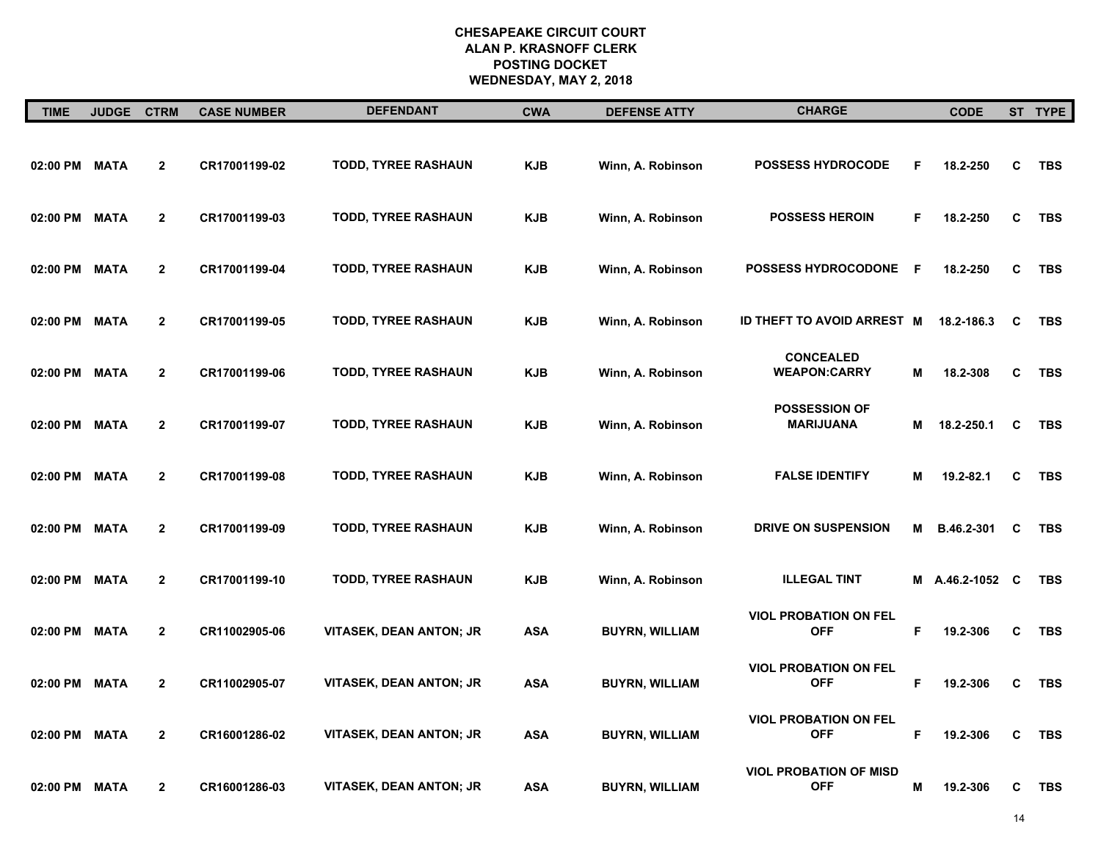| <b>TIME</b>   | <b>JUDGE</b> | <b>CTRM</b>    | <b>CASE NUMBER</b> | <b>DEFENDANT</b>               | <b>CWA</b> | <b>DEFENSE ATTY</b>   | <b>CHARGE</b>                               |    | <b>CODE</b>   |   | ST TYPE    |
|---------------|--------------|----------------|--------------------|--------------------------------|------------|-----------------------|---------------------------------------------|----|---------------|---|------------|
| 02:00 PM      | <b>MATA</b>  | $\mathbf{2}$   | CR17001199-02      | TODD, TYREE RASHAUN            | <b>KJB</b> | Winn, A. Robinson     | <b>POSSESS HYDROCODE</b>                    | F  | 18.2-250      | C | <b>TBS</b> |
| 02:00 PM      | <b>MATA</b>  | $\mathbf{2}$   | CR17001199-03      | TODD, TYREE RASHAUN            | <b>KJB</b> | Winn, A. Robinson     | <b>POSSESS HEROIN</b>                       | F  | 18.2-250      | C | <b>TBS</b> |
| 02:00 PM      | <b>MATA</b>  | $\mathbf{2}$   | CR17001199-04      | <b>TODD, TYREE RASHAUN</b>     | <b>KJB</b> | Winn, A. Robinson     | <b>POSSESS HYDROCODONE</b>                  | F  | 18.2-250      | C | <b>TBS</b> |
| 02:00 PM      | <b>MATA</b>  | $\mathbf{2}$   | CR17001199-05      | TODD, TYREE RASHAUN            | <b>KJB</b> | Winn, A. Robinson     | ID THEFT TO AVOID ARREST M                  |    | 18.2-186.3    | C | <b>TBS</b> |
| 02:00 PM      | <b>MATA</b>  | $\mathbf{2}$   | CR17001199-06      | TODD, TYREE RASHAUN            | <b>KJB</b> | Winn, A. Robinson     | <b>CONCEALED</b><br><b>WEAPON:CARRY</b>     | M  | 18.2-308      | C | <b>TBS</b> |
| 02:00 PM      | <b>MATA</b>  | $\mathbf{2}$   | CR17001199-07      | <b>TODD, TYREE RASHAUN</b>     | <b>KJB</b> | Winn, A. Robinson     | <b>POSSESSION OF</b><br>MARIJUANA           | M  | 18.2-250.1    | C | <b>TBS</b> |
| 02:00 PM      | <b>MATA</b>  | $\overline{2}$ | CR17001199-08      | TODD, TYREE RASHAUN            | <b>KJB</b> | Winn, A. Robinson     | <b>FALSE IDENTIFY</b>                       | M  | 19.2-82.1     | C | <b>TBS</b> |
| 02:00 PM      | <b>MATA</b>  | $\overline{2}$ | CR17001199-09      | TODD, TYREE RASHAUN            | <b>KJB</b> | Winn, A. Robinson     | <b>DRIVE ON SUSPENSION</b>                  | М  | B.46.2-301    | C | <b>TBS</b> |
| 02:00 PM      | <b>MATA</b>  | $\mathbf{2}$   | CR17001199-10      | TODD, TYREE RASHAUN            | <b>KJB</b> | Winn, A. Robinson     | <b>ILLEGAL TINT</b>                         |    | M A.46.2-1052 | C | <b>TBS</b> |
| 02:00 PM      | <b>MATA</b>  | $\mathbf{2}$   | CR11002905-06      | <b>VITASEK, DEAN ANTON; JR</b> | <b>ASA</b> | <b>BUYRN, WILLIAM</b> | <b>VIOL PROBATION ON FEL</b><br><b>OFF</b>  | F  | 19.2-306      | C | <b>TBS</b> |
| 02:00 PM      | <b>MATA</b>  | $\mathbf{2}$   | CR11002905-07      | <b>VITASEK, DEAN ANTON; JR</b> | <b>ASA</b> | <b>BUYRN, WILLIAM</b> | <b>VIOL PROBATION ON FEL</b><br><b>OFF</b>  | F. | 19.2-306      | C | <b>TBS</b> |
| 02:00 PM      | <b>MATA</b>  | $\mathbf{2}$   | CR16001286-02      | <b>VITASEK, DEAN ANTON; JR</b> | <b>ASA</b> | <b>BUYRN, WILLIAM</b> | <b>VIOL PROBATION ON FEL</b><br><b>OFF</b>  | F  | 19.2-306      | C | <b>TBS</b> |
| 02:00 PM MATA |              | $\overline{2}$ | CR16001286-03      | <b>VITASEK, DEAN ANTON; JR</b> | ASA        | <b>BUYRN, WILLIAM</b> | <b>VIOL PROBATION OF MISD</b><br><b>OFF</b> | M  | 19.2-306      | С | <b>TBS</b> |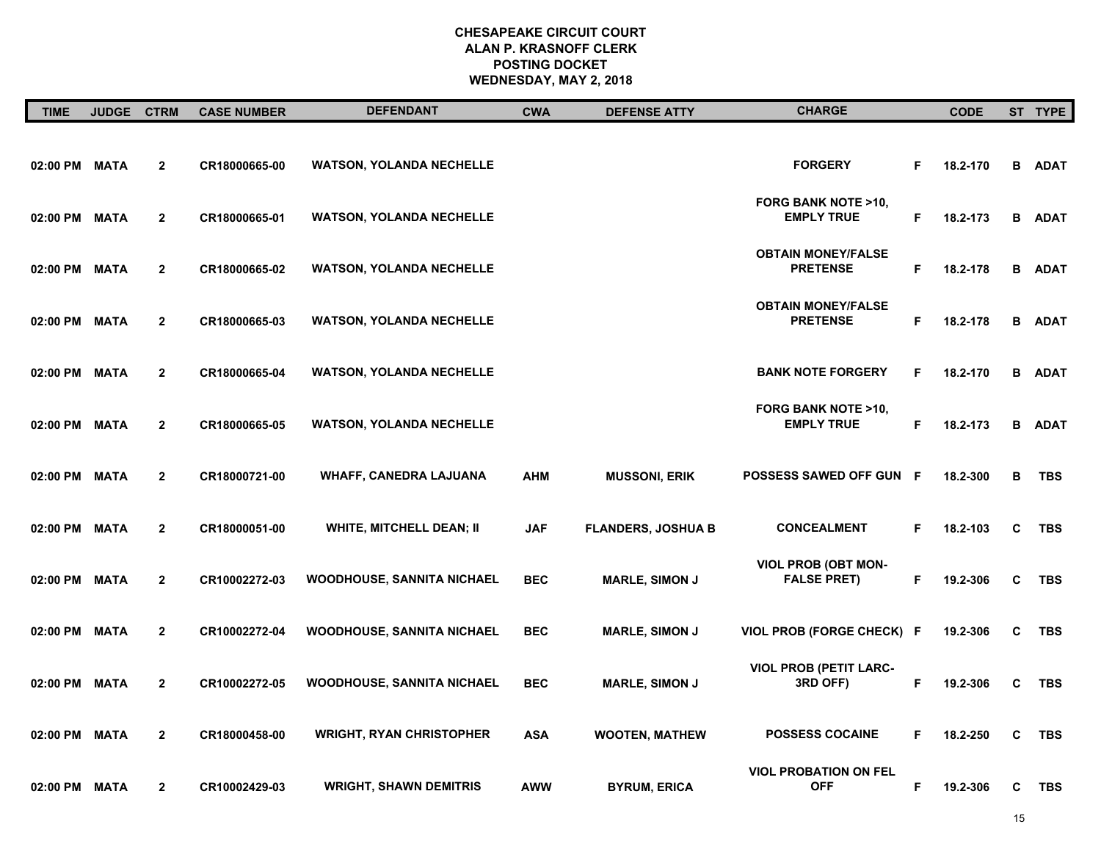| <b>TIME</b>   | <b>JUDGE</b> | <b>CTRM</b>    | <b>CASE NUMBER</b> | <b>DEFENDANT</b>                  | <b>CWA</b> | <b>DEFENSE ATTY</b>       | <b>CHARGE</b>                                      |    | <b>CODE</b> |   | ST TYPE       |
|---------------|--------------|----------------|--------------------|-----------------------------------|------------|---------------------------|----------------------------------------------------|----|-------------|---|---------------|
| 02:00 PM MATA |              | $\mathbf{2}$   | CR18000665-00      | <b>WATSON, YOLANDA NECHELLE</b>   |            |                           | <b>FORGERY</b>                                     | F  | 18.2-170    |   | <b>B</b> ADAT |
| 02:00 PM MATA |              | $\overline{2}$ | CR18000665-01      | <b>WATSON, YOLANDA NECHELLE</b>   |            |                           | <b>FORG BANK NOTE &gt;10,</b><br><b>EMPLY TRUE</b> | F  | 18.2-173    |   | <b>B</b> ADAT |
| 02:00 PM MATA |              | $\mathbf{2}$   | CR18000665-02      | <b>WATSON, YOLANDA NECHELLE</b>   |            |                           | <b>OBTAIN MONEY/FALSE</b><br><b>PRETENSE</b>       | F  | 18.2-178    |   | <b>B</b> ADAT |
| 02:00 PM MATA |              | $\mathbf{2}$   | CR18000665-03      | <b>WATSON, YOLANDA NECHELLE</b>   |            |                           | <b>OBTAIN MONEY/FALSE</b><br><b>PRETENSE</b>       | F  | 18.2-178    |   | <b>B</b> ADAT |
| 02:00 PM MATA |              | $\mathbf{2}$   | CR18000665-04      | <b>WATSON, YOLANDA NECHELLE</b>   |            |                           | <b>BANK NOTE FORGERY</b>                           | F  | 18.2-170    |   | <b>B</b> ADAT |
| 02:00 PM      | MATA         | $\overline{2}$ | CR18000665-05      | <b>WATSON, YOLANDA NECHELLE</b>   |            |                           | FORG BANK NOTE >10,<br><b>EMPLY TRUE</b>           | F  | 18.2-173    | В | ADAT          |
| 02:00 PM MATA |              | $\overline{2}$ | CR18000721-00      | WHAFF, CANEDRA LAJUANA            | <b>AHM</b> | <b>MUSSONI, ERIK</b>      | POSSESS SAWED OFF GUN F                            |    | 18.2-300    | в | <b>TBS</b>    |
| 02:00 PM MATA |              | $\overline{2}$ | CR18000051-00      | <b>WHITE, MITCHELL DEAN; II</b>   | <b>JAF</b> | <b>FLANDERS, JOSHUA B</b> | <b>CONCEALMENT</b>                                 | F  | 18.2-103    | C | <b>TBS</b>    |
| 02:00 PM MATA |              | $\mathbf{2}$   | CR10002272-03      | <b>WOODHOUSE, SANNITA NICHAEL</b> | <b>BEC</b> | <b>MARLE, SIMON J</b>     | <b>VIOL PROB (OBT MON-</b><br><b>FALSE PRET)</b>   | F  | 19.2-306    | C | TBS           |
| 02:00 PM MATA |              | $\overline{2}$ | CR10002272-04      | <b>WOODHOUSE, SANNITA NICHAEL</b> | <b>BEC</b> | <b>MARLE, SIMON J</b>     | <b>VIOL PROB (FORGE CHECK)</b>                     | -F | 19.2-306    | C | <b>TBS</b>    |
| 02:00 PM MATA |              | $\overline{2}$ | CR10002272-05      | <b>WOODHOUSE, SANNITA NICHAEL</b> | <b>BEC</b> | <b>MARLE, SIMON J</b>     | <b>VIOL PROB (PETIT LARC-</b><br>3RD OFF)          | F  | 19.2-306    | C | <b>TBS</b>    |
| 02:00 PM      | <b>MATA</b>  | $\mathbf{2}$   | CR18000458-00      | <b>WRIGHT, RYAN CHRISTOPHER</b>   | <b>ASA</b> | <b>WOOTEN, MATHEW</b>     | <b>POSSESS COCAINE</b>                             | F  | 18.2-250    | C | <b>TBS</b>    |
| 02:00 PM MATA |              | $\overline{2}$ | CR10002429-03      | <b>WRIGHT, SHAWN DEMITRIS</b>     | AWW        | <b>BYRUM, ERICA</b>       | <b>VIOL PROBATION ON FEL</b><br><b>OFF</b>         | F  | 19.2-306    | C | TBS           |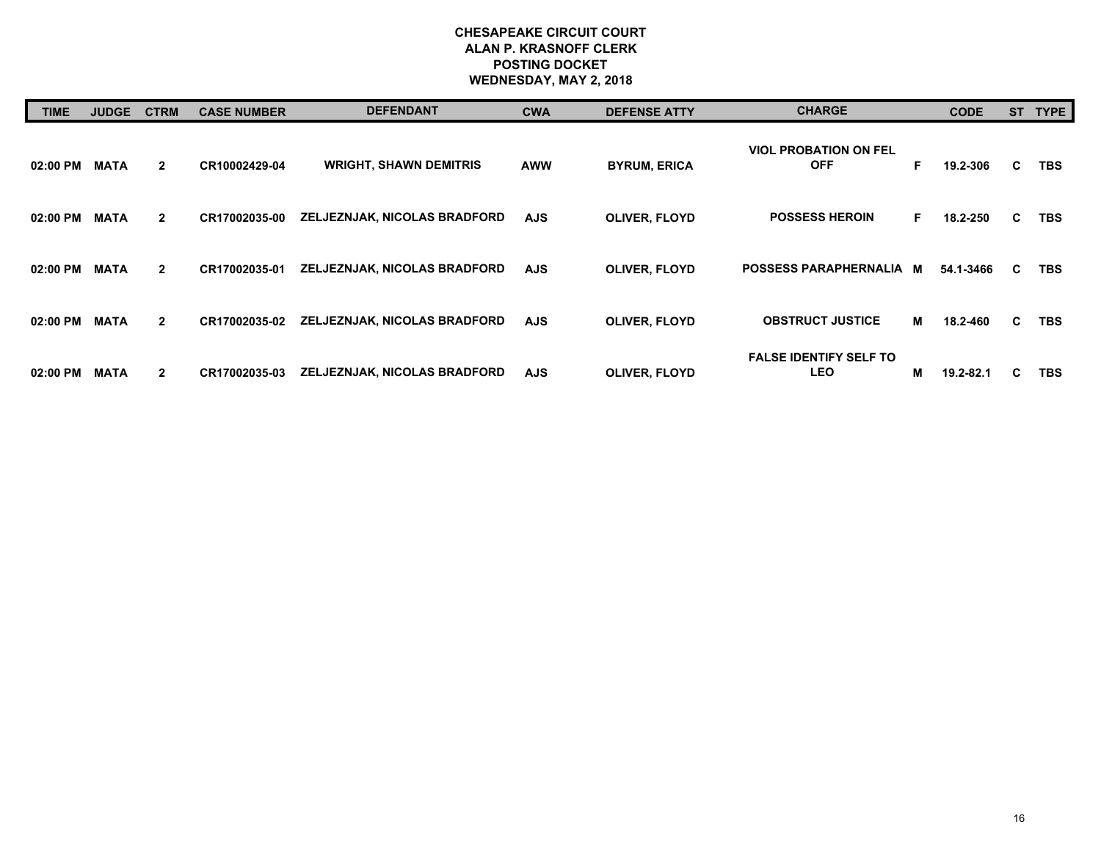| <b>TIME</b> | <b>JUDGE</b> | <b>CTRM</b>    | <b>CASE NUMBER</b> | <b>DEFENDANT</b>              | <b>CWA</b> | <b>DEFENSE ATTY</b>  | <b>CHARGE</b>                               |   | <b>CODE</b> |    | ST TYPE    |
|-------------|--------------|----------------|--------------------|-------------------------------|------------|----------------------|---------------------------------------------|---|-------------|----|------------|
| 02:00 PM    | <b>MATA</b>  | $\mathbf{2}$   | CR10002429-04      | <b>WRIGHT, SHAWN DEMITRIS</b> | <b>AWW</b> | <b>BYRUM, ERICA</b>  | <b>VIOL PROBATION ON FEL</b><br><b>OFF</b>  | F | 19.2-306    | C. | TBS.       |
| 02:00 PM    | <b>MATA</b>  | $\overline{2}$ | CR17002035-00      | ZELJEZNJAK, NICOLAS BRADFORD  | <b>AJS</b> | <b>OLIVER, FLOYD</b> | <b>POSSESS HEROIN</b>                       | F | 18.2-250    | C. | <b>TBS</b> |
| 02:00 PM    | <b>MATA</b>  | $\overline{2}$ | CR17002035-01      | ZELJEZNJAK, NICOLAS BRADFORD  | <b>AJS</b> | <b>OLIVER, FLOYD</b> | POSSESS PARAPHERNALIA M                     |   | 54.1-3466   | C  | <b>TBS</b> |
| 02:00 PM    | <b>MATA</b>  | $\overline{2}$ | CR17002035-02      | ZELJEZNJAK, NICOLAS BRADFORD  | <b>AJS</b> | <b>OLIVER, FLOYD</b> | <b>OBSTRUCT JUSTICE</b>                     | М | 18.2-460    | C. | <b>TBS</b> |
| 02:00 PM    | <b>MATA</b>  | $\mathbf{2}$   | CR17002035-03      | ZELJEZNJAK, NICOLAS BRADFORD  | <b>AJS</b> | <b>OLIVER, FLOYD</b> | <b>FALSE IDENTIFY SELF TO</b><br><b>LEO</b> | м | 19.2-82.1   | C  | <b>TBS</b> |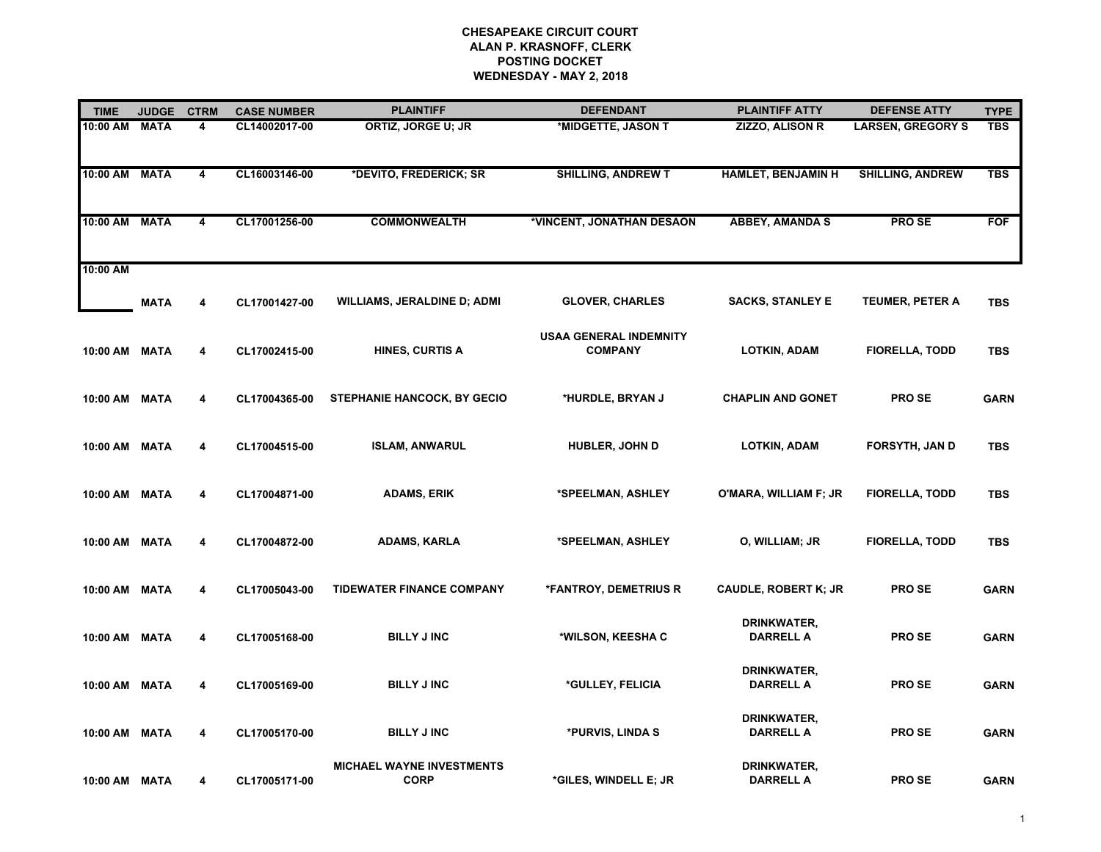| <b>TIME</b>   | <b>JUDGE</b> | <b>CTRM</b>             | <b>CASE NUMBER</b> | <b>PLAINTIFF</b>                                | <b>DEFENDANT</b>                                | <b>PLAINTIFF ATTY</b>           | <b>DEFENSE ATTY</b>      | <b>TYPE</b> |
|---------------|--------------|-------------------------|--------------------|-------------------------------------------------|-------------------------------------------------|---------------------------------|--------------------------|-------------|
| 10:00 AM      | <b>MATA</b>  | 4                       | CL14002017-00      | ORTIZ, JORGE U; JR                              | *MIDGETTE, JASON T                              | <b>ZIZZO, ALISON R</b>          | <b>LARSEN, GREGORY S</b> | <b>TBS</b>  |
| 10:00 AM MATA |              | 4                       | CL16003146-00      | *DEVITO, FREDERICK; SR                          | <b>SHILLING, ANDREW T</b>                       | <b>HAMLET, BENJAMIN H</b>       | <b>SHILLING, ANDREW</b>  | <b>TBS</b>  |
| 10:00 AM MATA |              | $\overline{\mathbf{4}}$ | CL17001256-00      | <b>COMMONWEALTH</b>                             | *VINCENT, JONATHAN DESAON                       | <b>ABBEY, AMANDA S</b>          | <b>PROSE</b>             | <b>FOF</b>  |
| 10:00 AM      |              |                         |                    |                                                 |                                                 |                                 |                          |             |
|               | <b>MATA</b>  | 4                       | CL17001427-00      | <b>WILLIAMS, JERALDINE D; ADMI</b>              | <b>GLOVER, CHARLES</b>                          | <b>SACKS, STANLEY E</b>         | <b>TEUMER, PETER A</b>   | <b>TBS</b>  |
| 10:00 AM MATA |              | 4                       | CL17002415-00      | <b>HINES, CURTIS A</b>                          | <b>USAA GENERAL INDEMNITY</b><br><b>COMPANY</b> | <b>LOTKIN, ADAM</b>             | <b>FIORELLA, TODD</b>    | <b>TBS</b>  |
| 10:00 AM MATA |              | 4                       | CL17004365-00      | <b>STEPHANIE HANCOCK, BY GECIO</b>              | *HURDLE, BRYAN J                                | <b>CHAPLIN AND GONET</b>        | <b>PROSE</b>             | <b>GARN</b> |
| 10:00 AM MATA |              | 4                       | CL17004515-00      | <b>ISLAM, ANWARUL</b>                           | <b>HUBLER, JOHN D</b>                           | <b>LOTKIN, ADAM</b>             | <b>FORSYTH, JAN D</b>    | <b>TBS</b>  |
| 10:00 AM MATA |              | 4                       | CL17004871-00      | <b>ADAMS, ERIK</b>                              | *SPEELMAN, ASHLEY                               | O'MARA, WILLIAM F; JR           | <b>FIORELLA, TODD</b>    | <b>TBS</b>  |
| 10:00 AM MATA |              | 4                       | CL17004872-00      | <b>ADAMS, KARLA</b>                             | *SPEELMAN, ASHLEY                               | O, WILLIAM; JR                  | <b>FIORELLA, TODD</b>    | <b>TBS</b>  |
| 10:00 AM MATA |              | 4                       | CL17005043-00      | <b>TIDEWATER FINANCE COMPANY</b>                | *FANTROY, DEMETRIUS R                           | <b>CAUDLE, ROBERT K; JR</b>     | <b>PROSE</b>             | <b>GARN</b> |
| 10:00 AM MATA |              | 4                       | CL17005168-00      | <b>BILLY J INC</b>                              | *WILSON, KEESHA C                               | DRINKWATER,<br><b>DARRELL A</b> | <b>PROSE</b>             | <b>GARN</b> |
| 10:00 AM MATA |              | 4                       | CL17005169-00      | <b>BILLY J INC</b>                              | *GULLEY, FELICIA                                | DRINKWATER,<br><b>DARRELL A</b> | <b>PROSE</b>             | <b>GARN</b> |
| 10:00 AM MATA |              | 4                       | CL17005170-00      | <b>BILLY J INC</b>                              | *PURVIS, LINDA S                                | DRINKWATER,<br><b>DARRELL A</b> | <b>PROSE</b>             | <b>GARN</b> |
| 10:00 AM MATA |              | 4                       | CL17005171-00      | <b>MICHAEL WAYNE INVESTMENTS</b><br><b>CORP</b> | *GILES, WINDELL E; JR                           | DRINKWATER,<br><b>DARRELL A</b> | <b>PROSE</b>             | <b>GARN</b> |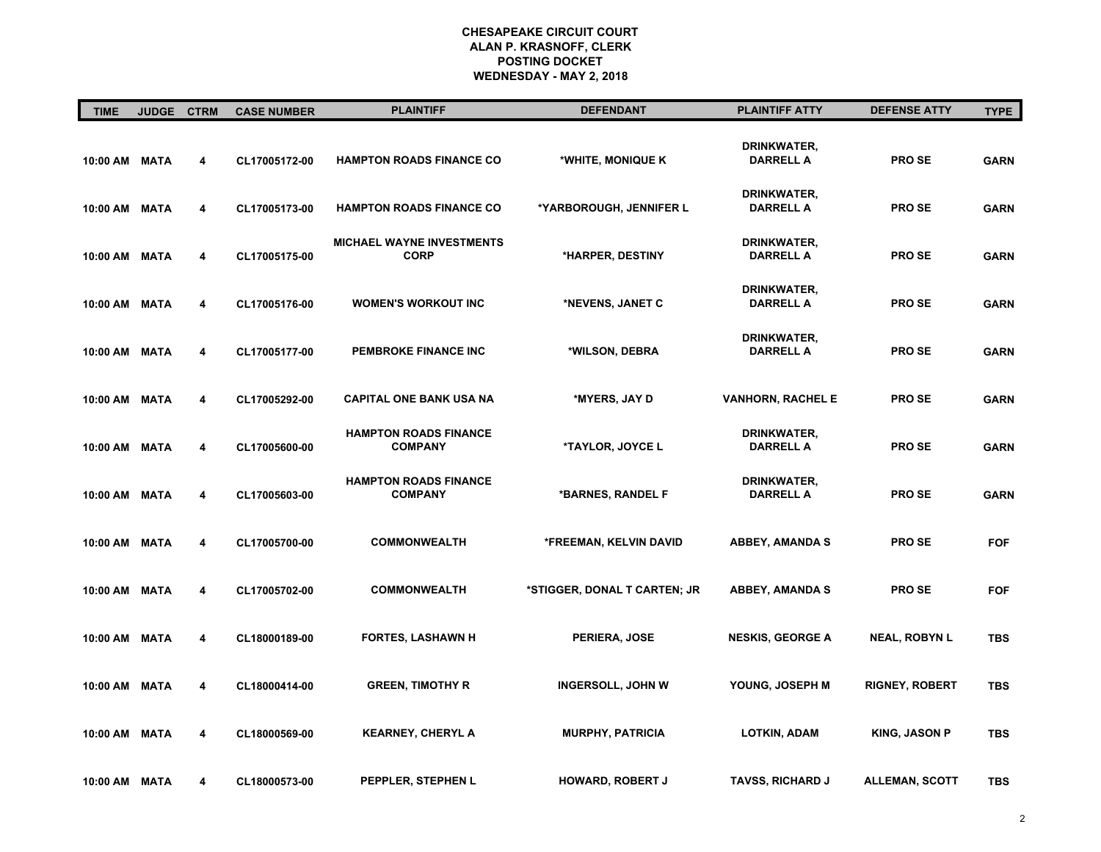| <b>TIME</b>   | <b>JUDGE</b> | <b>CTRM</b> | <b>CASE NUMBER</b> | <b>PLAINTIFF</b>                                | <b>DEFENDANT</b>             | <b>PLAINTIFF ATTY</b>           | <b>DEFENSE ATTY</b>   | <b>TYPE</b> |
|---------------|--------------|-------------|--------------------|-------------------------------------------------|------------------------------|---------------------------------|-----------------------|-------------|
| 10:00 AM MATA |              | 4           | CL17005172-00      | <b>HAMPTON ROADS FINANCE CO</b>                 | *WHITE, MONIQUE K            | DRINKWATER,<br><b>DARRELL A</b> | <b>PROSE</b>          | <b>GARN</b> |
| 10:00 AM MATA |              | 4           | CL17005173-00      | <b>HAMPTON ROADS FINANCE CO</b>                 | *YARBOROUGH, JENNIFER L      | DRINKWATER,<br><b>DARRELL A</b> | <b>PROSE</b>          | <b>GARN</b> |
| 10:00 AM MATA |              | 4           | CL17005175-00      | <b>MICHAEL WAYNE INVESTMENTS</b><br><b>CORP</b> | *HARPER, DESTINY             | DRINKWATER,<br><b>DARRELL A</b> | <b>PROSE</b>          | <b>GARN</b> |
| 10:00 AM MATA |              | 4           | CL17005176-00      | <b>WOMEN'S WORKOUT INC</b>                      | *NEVENS, JANET C             | DRINKWATER,<br><b>DARRELL A</b> | <b>PROSE</b>          | <b>GARN</b> |
| 10:00 AM MATA |              | 4           | CL17005177-00      | PEMBROKE FINANCE INC                            | *WILSON, DEBRA               | DRINKWATER,<br><b>DARRELL A</b> | <b>PROSE</b>          | <b>GARN</b> |
| 10:00 AM MATA |              | 4           | CL17005292-00      | <b>CAPITAL ONE BANK USA NA</b>                  | *MYERS, JAY D                | <b>VANHORN, RACHEL E</b>        | <b>PROSE</b>          | <b>GARN</b> |
| 10:00 AM MATA |              | 4           | CL17005600-00      | <b>HAMPTON ROADS FINANCE</b><br><b>COMPANY</b>  | <b>*TAYLOR, JOYCE L</b>      | DRINKWATER,<br><b>DARRELL A</b> | <b>PROSE</b>          | <b>GARN</b> |
| 10:00 AM MATA |              | 4           | CL17005603-00      | <b>HAMPTON ROADS FINANCE</b><br><b>COMPANY</b>  | *BARNES, RANDEL F            | DRINKWATER,<br><b>DARRELL A</b> | <b>PROSE</b>          | <b>GARN</b> |
| 10:00 AM MATA |              | 4           | CL17005700-00      | <b>COMMONWEALTH</b>                             | *FREEMAN, KELVIN DAVID       | <b>ABBEY, AMANDA S</b>          | <b>PROSE</b>          | <b>FOF</b>  |
| 10:00 AM MATA |              | 4           | CL17005702-00      | <b>COMMONWEALTH</b>                             | *STIGGER, DONAL T CARTEN; JR | <b>ABBEY, AMANDA S</b>          | <b>PROSE</b>          | <b>FOF</b>  |
| 10:00 AM MATA |              | 4           | CL18000189-00      | <b>FORTES, LASHAWN H</b>                        | PERIERA, JOSE                | <b>NESKIS, GEORGE A</b>         | <b>NEAL, ROBYN L</b>  | <b>TBS</b>  |
| 10:00 AM MATA |              | 4           | CL18000414-00      | <b>GREEN, TIMOTHY R</b>                         | <b>INGERSOLL, JOHN W</b>     | YOUNG, JOSEPH M                 | <b>RIGNEY, ROBERT</b> | <b>TBS</b>  |
| 10:00 AM MATA |              | 4           | CL18000569-00      | <b>KEARNEY, CHERYL A</b>                        | <b>MURPHY, PATRICIA</b>      | <b>LOTKIN, ADAM</b>             | <b>KING, JASON P</b>  | <b>TBS</b>  |
| 10:00 AM MATA |              | 4           | CL18000573-00      | PEPPLER, STEPHEN L                              | <b>HOWARD, ROBERT J</b>      | <b>TAVSS, RICHARD J</b>         | <b>ALLEMAN, SCOTT</b> | <b>TBS</b>  |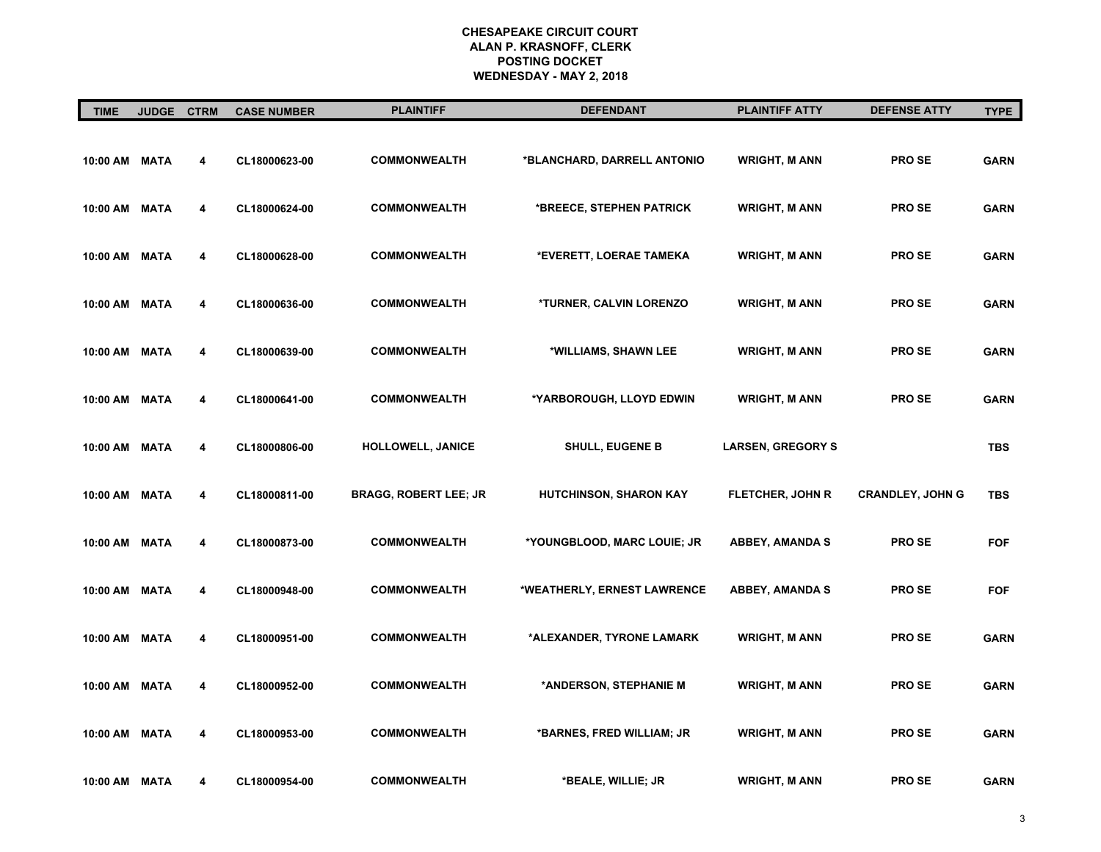| <b>TIME</b>   | <b>JUDGE</b> | <b>CTRM</b> | <b>CASE NUMBER</b> | <b>PLAINTIFF</b>             | <b>DEFENDANT</b>              | <b>PLAINTIFF ATTY</b>    | <b>DEFENSE ATTY</b>     | <b>TYPE</b> |
|---------------|--------------|-------------|--------------------|------------------------------|-------------------------------|--------------------------|-------------------------|-------------|
| 10:00 AM MATA |              | 4           | CL18000623-00      | <b>COMMONWEALTH</b>          | *BLANCHARD, DARRELL ANTONIO   | <b>WRIGHT, M ANN</b>     | <b>PROSE</b>            | <b>GARN</b> |
| 10:00 AM MATA |              | 4           | CL18000624-00      | <b>COMMONWEALTH</b>          | *BREECE, STEPHEN PATRICK      | <b>WRIGHT, M ANN</b>     | <b>PROSE</b>            | <b>GARN</b> |
| 10:00 AM MATA |              | 4           | CL18000628-00      | <b>COMMONWEALTH</b>          | *EVERETT, LOERAE TAMEKA       | <b>WRIGHT, M ANN</b>     | <b>PROSE</b>            | <b>GARN</b> |
| 10:00 AM MATA |              | 4           | CL18000636-00      | <b>COMMONWEALTH</b>          | *TURNER, CALVIN LORENZO       | <b>WRIGHT, M ANN</b>     | <b>PROSE</b>            | <b>GARN</b> |
| 10:00 AM MATA |              | 4           | CL18000639-00      | <b>COMMONWEALTH</b>          | *WILLIAMS, SHAWN LEE          | <b>WRIGHT, M ANN</b>     | <b>PROSE</b>            | <b>GARN</b> |
| 10:00 AM MATA |              | 4           | CL18000641-00      | <b>COMMONWEALTH</b>          | *YARBOROUGH, LLOYD EDWIN      | <b>WRIGHT, M ANN</b>     | <b>PROSE</b>            | <b>GARN</b> |
| 10:00 AM MATA |              | 4           | CL18000806-00      | HOLLOWELL, JANICE            | <b>SHULL, EUGENE B</b>        | <b>LARSEN, GREGORY S</b> |                         | <b>TBS</b>  |
| 10:00 AM MATA |              | 4           | CL18000811-00      | <b>BRAGG, ROBERT LEE; JR</b> | <b>HUTCHINSON, SHARON KAY</b> | <b>FLETCHER, JOHN R</b>  | <b>CRANDLEY, JOHN G</b> | <b>TBS</b>  |
| 10:00 AM MATA |              | 4           | CL18000873-00      | <b>COMMONWEALTH</b>          | *YOUNGBLOOD, MARC LOUIE; JR   | <b>ABBEY, AMANDA S</b>   | <b>PROSE</b>            | <b>FOF</b>  |
| 10:00 AM MATA |              | 4           | CL18000948-00      | <b>COMMONWEALTH</b>          | *WEATHERLY, ERNEST LAWRENCE   | <b>ABBEY, AMANDA S</b>   | <b>PROSE</b>            | <b>FOF</b>  |
| 10:00 AM MATA |              | 4           | CL18000951-00      | <b>COMMONWEALTH</b>          | *ALEXANDER, TYRONE LAMARK     | <b>WRIGHT, M ANN</b>     | <b>PROSE</b>            | <b>GARN</b> |
| 10:00 AM MATA |              | 4           | CL18000952-00      | <b>COMMONWEALTH</b>          | *ANDERSON, STEPHANIE M        | <b>WRIGHT, M ANN</b>     | <b>PROSE</b>            | <b>GARN</b> |
| 10:00 AM MATA |              | 4           | CL18000953-00      | <b>COMMONWEALTH</b>          | *BARNES, FRED WILLIAM; JR     | <b>WRIGHT, M ANN</b>     | <b>PROSE</b>            | <b>GARN</b> |
| 10:00 AM      | MATA         | 4           | CL18000954-00      | <b>COMMONWEALTH</b>          | *BEALE, WILLIE; JR            | <b>WRIGHT, M ANN</b>     | <b>PROSE</b>            | <b>GARN</b> |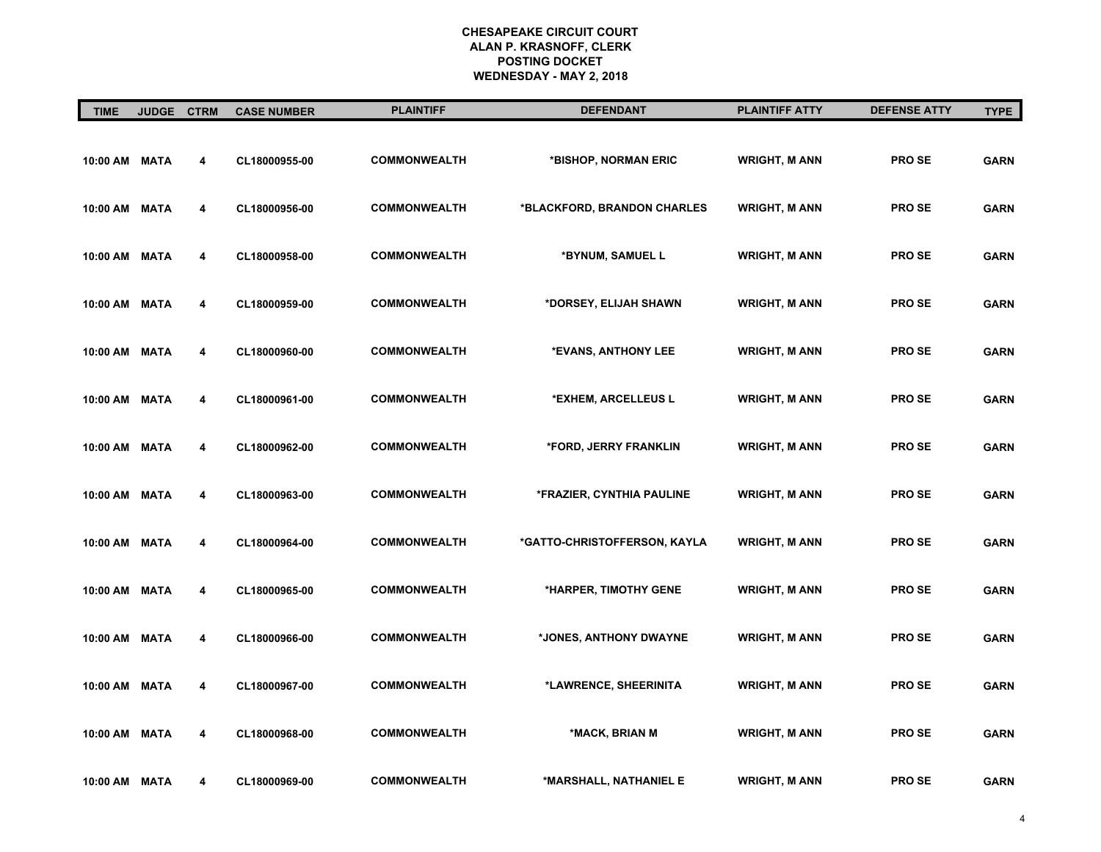| <b>TIME</b>   | <b>JUDGE</b> | <b>CTRM</b> | <b>CASE NUMBER</b> | <b>PLAINTIFF</b>    | <b>DEFENDANT</b>             | <b>PLAINTIFF ATTY</b> | <b>DEFENSE ATTY</b> | <b>TYPE</b> |
|---------------|--------------|-------------|--------------------|---------------------|------------------------------|-----------------------|---------------------|-------------|
| 10:00 AM MATA |              | 4           | CL18000955-00      | <b>COMMONWEALTH</b> | *BISHOP, NORMAN ERIC         | <b>WRIGHT, M ANN</b>  | <b>PROSE</b>        | <b>GARN</b> |
| 10:00 AM MATA |              | 4           | CL18000956-00      | <b>COMMONWEALTH</b> | *BLACKFORD, BRANDON CHARLES  | <b>WRIGHT, M ANN</b>  | <b>PROSE</b>        | <b>GARN</b> |
| 10:00 AM MATA |              | 4           | CL18000958-00      | <b>COMMONWEALTH</b> | *BYNUM, SAMUEL L             | <b>WRIGHT, M ANN</b>  | <b>PROSE</b>        | <b>GARN</b> |
| 10:00 AM MATA |              | 4           | CL18000959-00      | <b>COMMONWEALTH</b> | *DORSEY, ELIJAH SHAWN        | <b>WRIGHT, M ANN</b>  | <b>PROSE</b>        | <b>GARN</b> |
| 10:00 AM MATA |              | 4           | CL18000960-00      | <b>COMMONWEALTH</b> | *EVANS, ANTHONY LEE          | <b>WRIGHT, M ANN</b>  | <b>PROSE</b>        | <b>GARN</b> |
| 10:00 AM MATA |              | 4           | CL18000961-00      | <b>COMMONWEALTH</b> | *EXHEM, ARCELLEUS L          | <b>WRIGHT, M ANN</b>  | <b>PROSE</b>        | <b>GARN</b> |
| 10:00 AM MATA |              | 4           | CL18000962-00      | <b>COMMONWEALTH</b> | *FORD, JERRY FRANKLIN        | <b>WRIGHT, M ANN</b>  | <b>PROSE</b>        | <b>GARN</b> |
| 10:00 AM MATA |              | 4           | CL18000963-00      | <b>COMMONWEALTH</b> | *FRAZIER, CYNTHIA PAULINE    | <b>WRIGHT, M ANN</b>  | <b>PROSE</b>        | <b>GARN</b> |
| 10:00 AM MATA |              | 4           | CL18000964-00      | <b>COMMONWEALTH</b> | *GATTO-CHRISTOFFERSON, KAYLA | <b>WRIGHT, M ANN</b>  | <b>PROSE</b>        | <b>GARN</b> |
| 10:00 AM MATA |              | 4           | CL18000965-00      | <b>COMMONWEALTH</b> | *HARPER, TIMOTHY GENE        | <b>WRIGHT, M ANN</b>  | <b>PROSE</b>        | <b>GARN</b> |
| 10:00 AM MATA |              | 4           | CL18000966-00      | <b>COMMONWEALTH</b> | *JONES, ANTHONY DWAYNE       | <b>WRIGHT, M ANN</b>  | <b>PROSE</b>        | <b>GARN</b> |
| 10:00 AM MATA |              | 4           | CL18000967-00      | <b>COMMONWEALTH</b> | *LAWRENCE, SHEERINITA        | <b>WRIGHT, M ANN</b>  | <b>PROSE</b>        | <b>GARN</b> |
| 10:00 AM MATA |              | 4           | CL18000968-00      | <b>COMMONWEALTH</b> | *MACK, BRIAN M               | <b>WRIGHT, M ANN</b>  | <b>PROSE</b>        | <b>GARN</b> |
| 10:00 AM      | MATA         | 4           | CL18000969-00      | <b>COMMONWEALTH</b> | *MARSHALL, NATHANIEL E       | <b>WRIGHT, M ANN</b>  | <b>PROSE</b>        | <b>GARN</b> |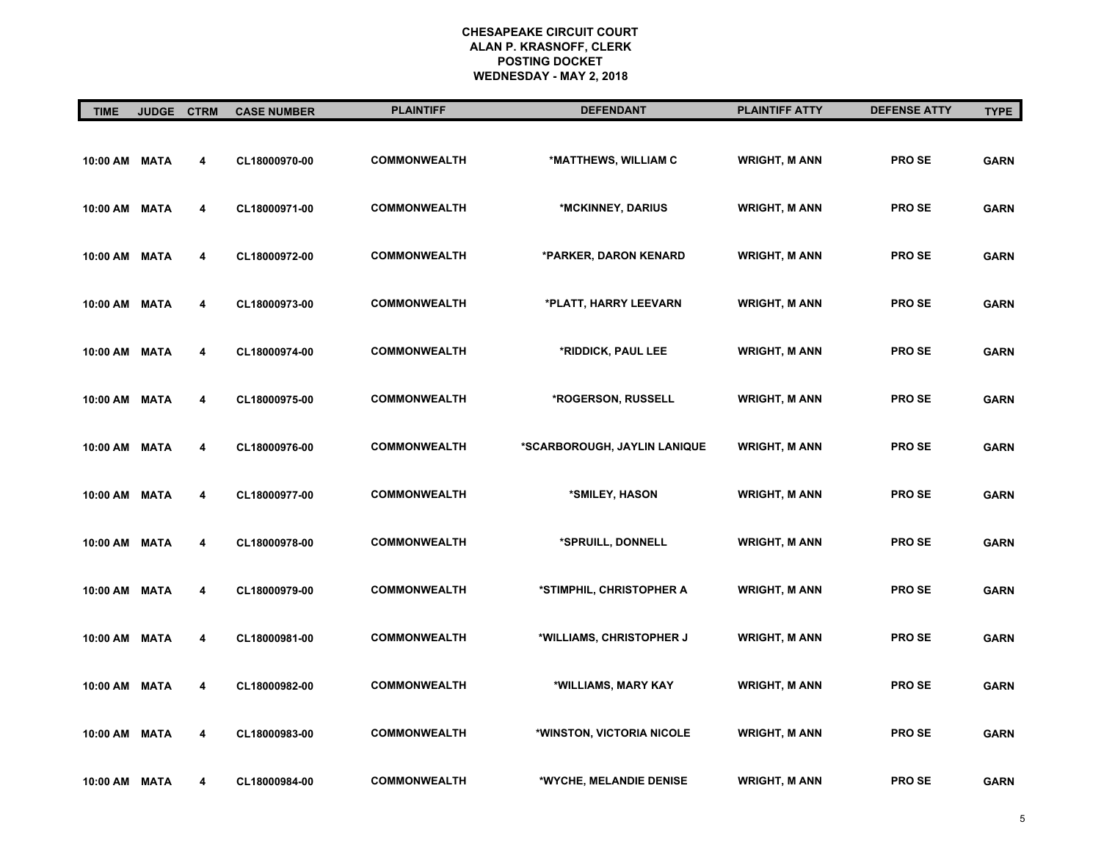| <b>TIME</b>   | <b>JUDGE</b> | <b>CTRM</b> | <b>CASE NUMBER</b> | <b>PLAINTIFF</b>    | <b>DEFENDANT</b>             | <b>PLAINTIFF ATTY</b> | <b>DEFENSE ATTY</b> | <b>TYPE</b> |
|---------------|--------------|-------------|--------------------|---------------------|------------------------------|-----------------------|---------------------|-------------|
| 10:00 AM MATA |              | 4           | CL18000970-00      | <b>COMMONWEALTH</b> | *MATTHEWS, WILLIAM C         | <b>WRIGHT, M ANN</b>  | <b>PROSE</b>        | <b>GARN</b> |
| 10:00 AM MATA |              | 4           | CL18000971-00      | <b>COMMONWEALTH</b> | *MCKINNEY, DARIUS            | <b>WRIGHT, M ANN</b>  | <b>PROSE</b>        | <b>GARN</b> |
| 10:00 AM MATA |              | 4           | CL18000972-00      | <b>COMMONWEALTH</b> | *PARKER, DARON KENARD        | <b>WRIGHT, M ANN</b>  | <b>PROSE</b>        | <b>GARN</b> |
| 10:00 AM MATA |              | 4           | CL18000973-00      | <b>COMMONWEALTH</b> | *PLATT, HARRY LEEVARN        | <b>WRIGHT, M ANN</b>  | <b>PROSE</b>        | <b>GARN</b> |
| 10:00 AM MATA |              | 4           | CL18000974-00      | <b>COMMONWEALTH</b> | *RIDDICK, PAUL LEE           | <b>WRIGHT, M ANN</b>  | <b>PROSE</b>        | <b>GARN</b> |
| 10:00 AM MATA |              | 4           | CL18000975-00      | <b>COMMONWEALTH</b> | *ROGERSON, RUSSELL           | <b>WRIGHT, M ANN</b>  | <b>PROSE</b>        | <b>GARN</b> |
| 10:00 AM MATA |              | 4           | CL18000976-00      | <b>COMMONWEALTH</b> | *SCARBOROUGH, JAYLIN LANIQUE | <b>WRIGHT, M ANN</b>  | <b>PROSE</b>        | <b>GARN</b> |
| 10:00 AM MATA |              | 4           | CL18000977-00      | <b>COMMONWEALTH</b> | *SMILEY, HASON               | <b>WRIGHT, M ANN</b>  | <b>PROSE</b>        | <b>GARN</b> |
| 10:00 AM MATA |              | 4           | CL18000978-00      | <b>COMMONWEALTH</b> | *SPRUILL, DONNELL            | <b>WRIGHT, M ANN</b>  | <b>PROSE</b>        | <b>GARN</b> |
| 10:00 AM MATA |              | 4           | CL18000979-00      | <b>COMMONWEALTH</b> | *STIMPHIL, CHRISTOPHER A     | <b>WRIGHT, M ANN</b>  | <b>PROSE</b>        | <b>GARN</b> |
| 10:00 AM MATA |              | 4           | CL18000981-00      | <b>COMMONWEALTH</b> | *WILLIAMS, CHRISTOPHER J     | <b>WRIGHT, M ANN</b>  | <b>PROSE</b>        | <b>GARN</b> |
| 10:00 AM MATA |              | 4           | CL18000982-00      | <b>COMMONWEALTH</b> | *WILLIAMS, MARY KAY          | <b>WRIGHT, M ANN</b>  | <b>PROSE</b>        | <b>GARN</b> |
| 10:00 AM MATA |              | 4           | CL18000983-00      | <b>COMMONWEALTH</b> | *WINSTON, VICTORIA NICOLE    | <b>WRIGHT, M ANN</b>  | <b>PROSE</b>        | <b>GARN</b> |
| 10:00 AM      | <b>MATA</b>  | 4           | CL18000984-00      | <b>COMMONWEALTH</b> | *WYCHE, MELANDIE DENISE      | <b>WRIGHT, M ANN</b>  | <b>PROSE</b>        | <b>GARN</b> |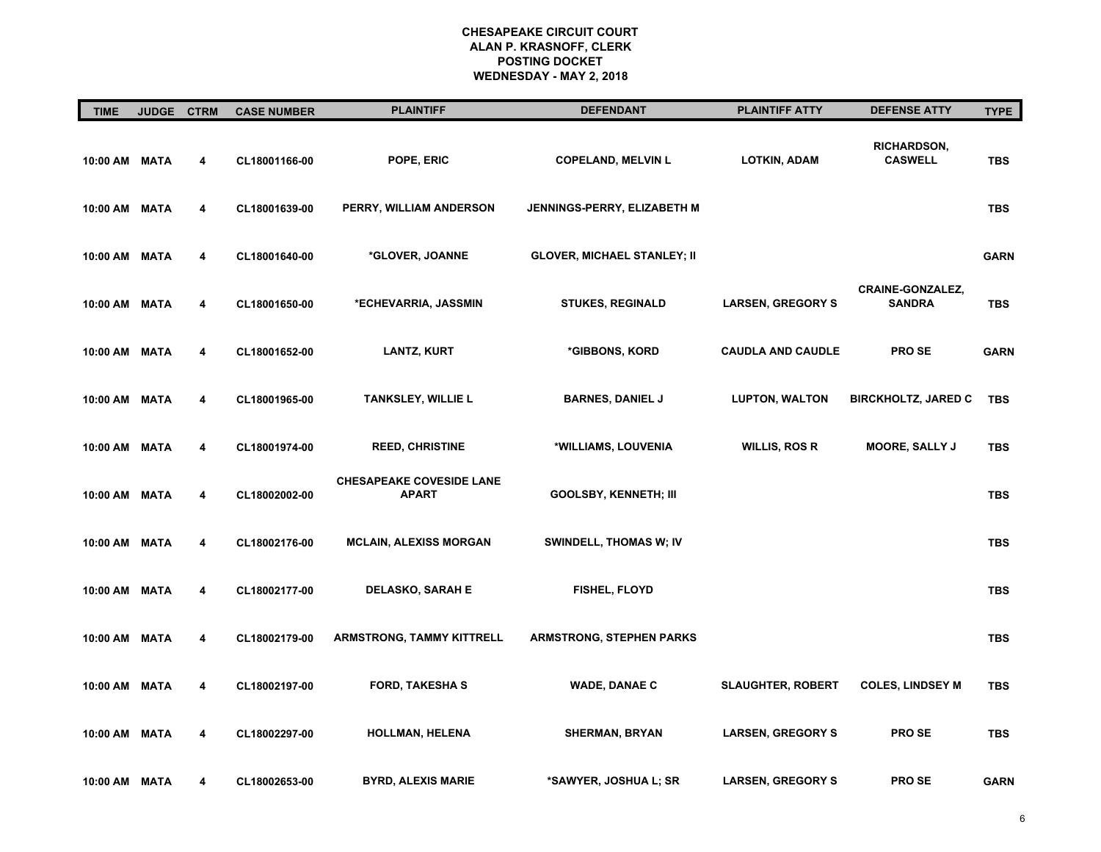| <b>TIME</b>   | <b>JUDGE</b> | <b>CTRM</b> | <b>CASE NUMBER</b> | <b>PLAINTIFF</b>                                | <b>DEFENDANT</b>                   | <b>PLAINTIFF ATTY</b>    | <b>DEFENSE ATTY</b>                      | <b>TYPE</b> |
|---------------|--------------|-------------|--------------------|-------------------------------------------------|------------------------------------|--------------------------|------------------------------------------|-------------|
| 10:00 AM MATA |              | 4           | CL18001166-00      | POPE, ERIC                                      | <b>COPELAND, MELVIN L</b>          | <b>LOTKIN, ADAM</b>      | <b>RICHARDSON,</b><br><b>CASWELL</b>     | <b>TBS</b>  |
| 10:00 AM MATA |              | 4           | CL18001639-00      | PERRY, WILLIAM ANDERSON                         | JENNINGS-PERRY, ELIZABETH M        |                          |                                          | <b>TBS</b>  |
| 10:00 AM MATA |              | 4           | CL18001640-00      | *GLOVER, JOANNE                                 | <b>GLOVER, MICHAEL STANLEY; II</b> |                          |                                          | <b>GARN</b> |
| 10:00 AM MATA |              | 4           | CL18001650-00      | *ECHEVARRIA, JASSMIN                            | <b>STUKES, REGINALD</b>            | <b>LARSEN, GREGORY S</b> | <b>CRAINE-GONZALEZ,</b><br><b>SANDRA</b> | <b>TBS</b>  |
| 10:00 AM MATA |              | 4           | CL18001652-00      | <b>LANTZ, KURT</b>                              | *GIBBONS, KORD                     | <b>CAUDLA AND CAUDLE</b> | <b>PROSE</b>                             | <b>GARN</b> |
| 10:00 AM MATA |              | 4           | CL18001965-00      | <b>TANKSLEY, WILLIE L</b>                       | <b>BARNES, DANIEL J</b>            | <b>LUPTON, WALTON</b>    | <b>BIRCKHOLTZ, JARED C</b>               | <b>TBS</b>  |
| 10:00 AM MATA |              | 4           | CL18001974-00      | <b>REED, CHRISTINE</b>                          | *WILLIAMS, LOUVENIA                | <b>WILLIS, ROS R</b>     | <b>MOORE, SALLY J</b>                    | <b>TBS</b>  |
| 10:00 AM MATA |              | 4           | CL18002002-00      | <b>CHESAPEAKE COVESIDE LANE</b><br><b>APART</b> | <b>GOOLSBY, KENNETH; III</b>       |                          |                                          | <b>TBS</b>  |
| 10:00 AM MATA |              | 4           | CL18002176-00      | <b>MCLAIN, ALEXISS MORGAN</b>                   | <b>SWINDELL, THOMAS W; IV</b>      |                          |                                          | <b>TBS</b>  |
| 10:00 AM MATA |              | 4           | CL18002177-00      | <b>DELASKO, SARAH E</b>                         | <b>FISHEL, FLOYD</b>               |                          |                                          | <b>TBS</b>  |
| 10:00 AM MATA |              | 4           | CL18002179-00      | <b>ARMSTRONG, TAMMY KITTRELL</b>                | <b>ARMSTRONG, STEPHEN PARKS</b>    |                          |                                          | <b>TBS</b>  |
| 10:00 AM MATA |              | 4           | CL18002197-00      | <b>FORD, TAKESHAS</b>                           | <b>WADE, DANAE C</b>               | <b>SLAUGHTER, ROBERT</b> | <b>COLES, LINDSEY M</b>                  | <b>TBS</b>  |
| 10:00 AM MATA |              | 4           | CL18002297-00      | <b>HOLLMAN, HELENA</b>                          | <b>SHERMAN, BRYAN</b>              | <b>LARSEN, GREGORY S</b> | <b>PROSE</b>                             | <b>TBS</b>  |
| 10:00 AM      | MATA         | 4           | CL18002653-00      | <b>BYRD, ALEXIS MARIE</b>                       | *SAWYER, JOSHUA L; SR              | <b>LARSEN, GREGORY S</b> | <b>PROSE</b>                             | <b>GARN</b> |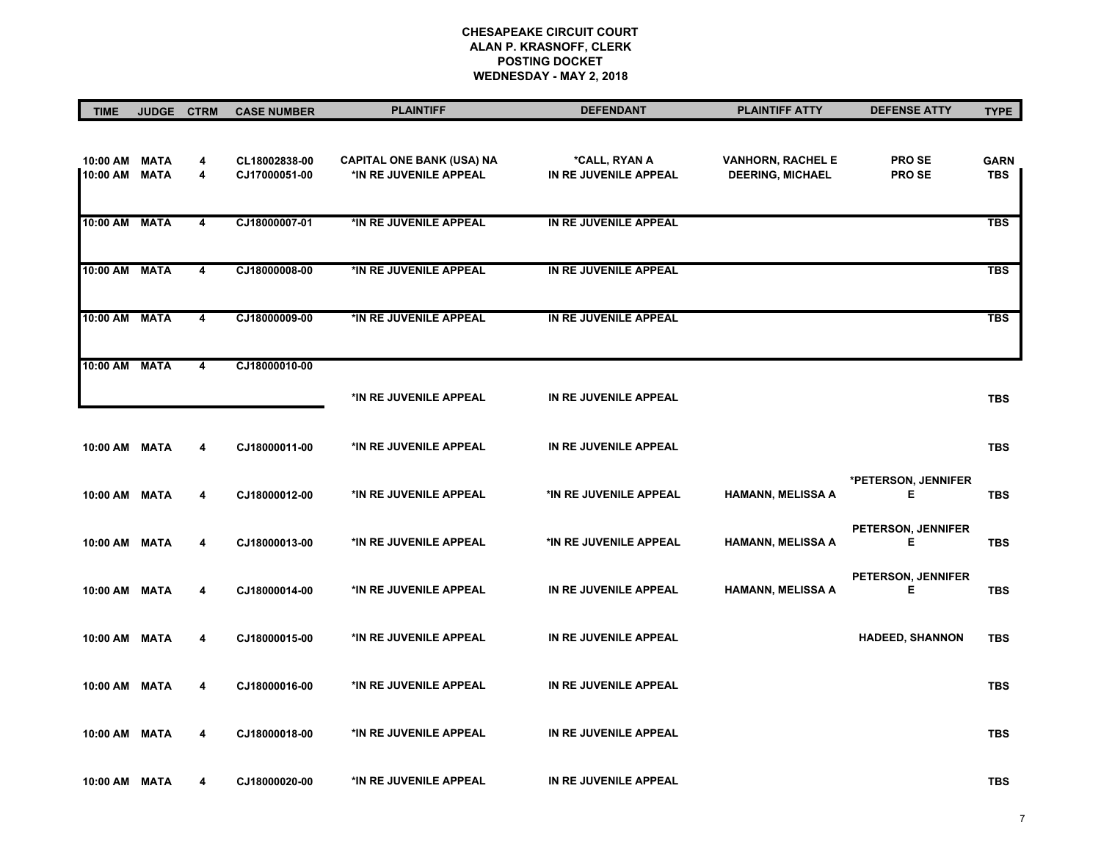| <b>TIME</b>          | <b>JUDGE</b>               | <b>CTRM</b>             | <b>CASE NUMBER</b>             | <b>PLAINTIFF</b>                                           | <b>DEFENDANT</b>                       | <b>PLAINTIFF ATTY</b>                               | <b>DEFENSE ATTY</b>          | <b>TYPE</b>               |
|----------------------|----------------------------|-------------------------|--------------------------------|------------------------------------------------------------|----------------------------------------|-----------------------------------------------------|------------------------------|---------------------------|
| 10:00 AM<br>10:00 AM | <b>MATA</b><br><b>MATA</b> | 4<br>4                  | CL18002838-00<br>CJ17000051-00 | <b>CAPITAL ONE BANK (USA) NA</b><br>*IN RE JUVENILE APPEAL | *CALL, RYAN A<br>IN RE JUVENILE APPEAL | <b>VANHORN, RACHEL E</b><br><b>DEERING, MICHAEL</b> | <b>PROSE</b><br><b>PROSE</b> | <b>GARN</b><br><b>TBS</b> |
| 10:00 AM             | <b>MATA</b>                | $\overline{4}$          | CJ18000007-01                  | *IN RE JUVENILE APPEAL                                     | IN RE JUVENILE APPEAL                  |                                                     |                              | <b>TBS</b>                |
| 10:00 AM             | <b>MATA</b>                | $\overline{\mathbf{4}}$ | CJ18000008-00                  | *IN RE JUVENILE APPEAL                                     | IN RE JUVENILE APPEAL                  |                                                     |                              | <b>TBS</b>                |
| 10:00 AM             | <b>MATA</b>                | 4                       | CJ18000009-00                  | *IN RE JUVENILE APPEAL                                     | IN RE JUVENILE APPEAL                  |                                                     |                              | <b>TBS</b>                |
| 10:00 AM             | <b>MATA</b>                | 4                       | CJ18000010-00                  | *IN RE JUVENILE APPEAL                                     | IN RE JUVENILE APPEAL                  |                                                     |                              | <b>TBS</b>                |
| 10:00 AM MATA        |                            | 4                       | CJ18000011-00                  | *IN RE JUVENILE APPEAL                                     | IN RE JUVENILE APPEAL                  |                                                     |                              | <b>TBS</b>                |
| 10:00 AM             | MATA                       | 4                       | CJ18000012-00                  | *IN RE JUVENILE APPEAL                                     | *IN RE JUVENILE APPEAL                 | <b>HAMANN, MELISSA A</b>                            | *PETERSON, JENNIFER<br>Ε     | <b>TBS</b>                |
| 10:00 AM MATA        |                            | 4                       | CJ18000013-00                  | *IN RE JUVENILE APPEAL                                     | *IN RE JUVENILE APPEAL                 | <b>HAMANN, MELISSA A</b>                            | PETERSON, JENNIFER<br>Ε      | <b>TBS</b>                |
| 10:00 AM MATA        |                            | 4                       | CJ18000014-00                  | *IN RE JUVENILE APPEAL                                     | IN RE JUVENILE APPEAL                  | <b>HAMANN, MELISSA A</b>                            | PETERSON, JENNIFER<br>Е      | <b>TBS</b>                |
| 10:00 AM MATA        |                            | 4                       | CJ18000015-00                  | *IN RE JUVENILE APPEAL                                     | IN RE JUVENILE APPEAL                  |                                                     | <b>HADEED, SHANNON</b>       | <b>TBS</b>                |
| 10:00 AM MATA        |                            | 4                       | CJ18000016-00                  | *IN RE JUVENILE APPEAL                                     | IN RE JUVENILE APPEAL                  |                                                     |                              | <b>TBS</b>                |
| 10:00 AM MATA        |                            | 4                       | CJ18000018-00                  | *IN RE JUVENILE APPEAL                                     | IN RE JUVENILE APPEAL                  |                                                     |                              | <b>TBS</b>                |
| 10:00 AM MATA        |                            | 4                       | CJ18000020-00                  | *IN RE JUVENILE APPEAL                                     | IN RE JUVENILE APPEAL                  |                                                     |                              | <b>TBS</b>                |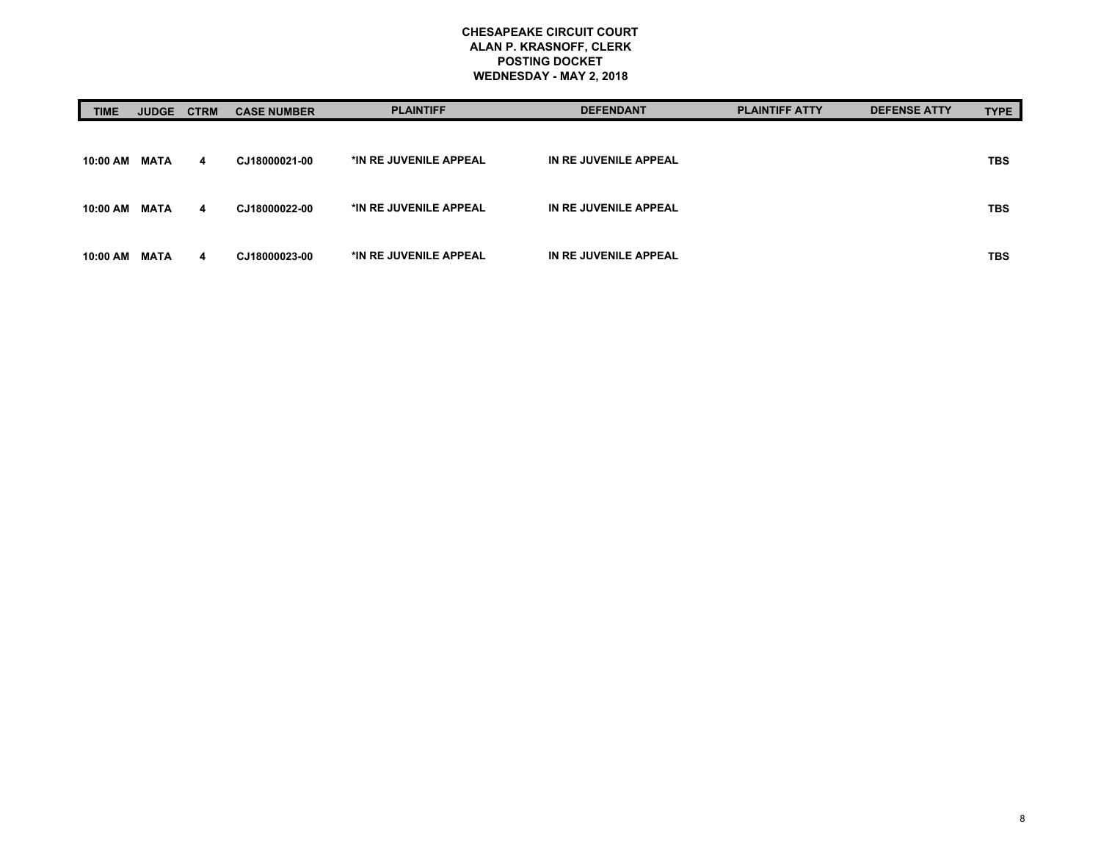| <b>TIME</b> | <b>JUDGE</b> | <b>CTRM</b> | <b>CASE NUMBER</b> | <b>PLAINTIFF</b>       | <b>DEFENDANT</b>      | <b>PLAINTIFF ATTY</b> | <b>DEFENSE ATTY</b> | <b>TYPE</b> |
|-------------|--------------|-------------|--------------------|------------------------|-----------------------|-----------------------|---------------------|-------------|
|             |              |             |                    |                        |                       |                       |                     |             |
| 10:00 AM    | MATA         | 4           | CJ18000021-00      | *IN RE JUVENILE APPEAL | IN RE JUVENILE APPEAL |                       |                     | <b>TBS</b>  |
| 10:00 AM    | MATA         | 4           | CJ18000022-00      | *IN RE JUVENILE APPEAL | IN RE JUVENILE APPEAL |                       |                     | <b>TBS</b>  |
| 10:00 AM    | MATA         | 4           | CJ18000023-00      | *IN RE JUVENILE APPEAL | IN RE JUVENILE APPEAL |                       |                     | <b>TBS</b>  |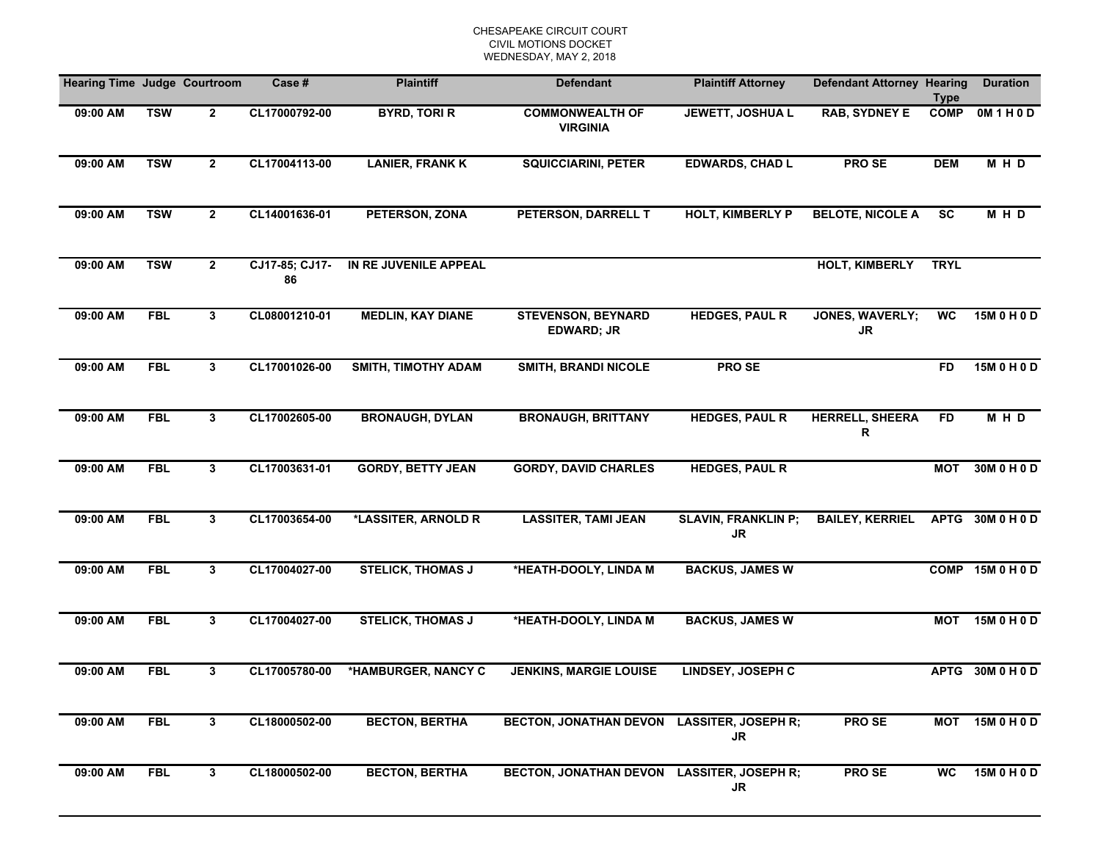| <b>Hearing Time Judge Courtroom</b> |            |                | Case#                | <b>Plaintiff</b>           | <b>Defendant</b>                               | <b>Plaintiff Attorney</b>               | <b>Defendant Attorney Hearing</b> | <b>Type</b>     | <b>Duration</b>  |
|-------------------------------------|------------|----------------|----------------------|----------------------------|------------------------------------------------|-----------------------------------------|-----------------------------------|-----------------|------------------|
| 09:00 AM                            | <b>TSW</b> | $\mathbf{2}$   | CL17000792-00        | <b>BYRD, TORI R</b>        | <b>COMMONWEALTH OF</b><br><b>VIRGINIA</b>      | JEWETT, JOSHUA L                        | <b>RAB, SYDNEY E</b>              | <b>COMP</b>     | OM1H0D           |
| 09:00 AM                            | <b>TSW</b> | $\mathbf{2}$   | CL17004113-00        | <b>LANIER, FRANK K</b>     | <b>SQUICCIARINI, PETER</b>                     | <b>EDWARDS, CHAD L</b>                  | PRO SE                            | <b>DEM</b>      | <b>MHD</b>       |
| 09:00 AM                            | <b>TSW</b> | $\mathbf{2}$   | CL14001636-01        | PETERSON, ZONA             | PETERSON, DARRELL T                            | <b>HOLT, KIMBERLY P</b>                 | <b>BELOTE, NICOLE A</b>           | $\overline{sc}$ | <b>MHD</b>       |
| 09:00 AM                            | <b>TSW</b> | $\mathbf{2}$   | CJ17-85; CJ17-<br>86 | IN RE JUVENILE APPEAL      |                                                |                                         | <b>HOLT, KIMBERLY</b>             | <b>TRYL</b>     |                  |
| 09:00 AM                            | <b>FBL</b> | 3 <sup>1</sup> | CL08001210-01        | <b>MEDLIN, KAY DIANE</b>   | <b>STEVENSON, BEYNARD</b><br><b>EDWARD; JR</b> | <b>HEDGES, PAUL R</b>                   | JONES, WAVERLY;<br><b>JR</b>      | WC              | 15M 0 H 0 D      |
| 09:00 AM                            | <b>FBL</b> | $\mathbf{3}$   | CL17001026-00        | <b>SMITH, TIMOTHY ADAM</b> | <b>SMITH, BRANDI NICOLE</b>                    | PRO SE                                  |                                   | <b>FD</b>       | 15M 0 H 0 D      |
| 09:00 AM                            | <b>FBL</b> | 3 <sup>1</sup> | CL17002605-00        | <b>BRONAUGH, DYLAN</b>     | <b>BRONAUGH, BRITTANY</b>                      | <b>HEDGES, PAUL R</b>                   | <b>HERRELL, SHEERA</b><br>R       | <b>FD</b>       | <b>MHD</b>       |
| 09:00 AM                            | <b>FBL</b> | 3 <sup>1</sup> | CL17003631-01        | <b>GORDY, BETTY JEAN</b>   | <b>GORDY, DAVID CHARLES</b>                    | <b>HEDGES, PAUL R</b>                   |                                   | <b>MOT</b>      | 30M 0 H 0 D      |
| 09:00 AM                            | <b>FBL</b> | 3              | CL17003654-00        | *LASSITER, ARNOLD R        | <b>LASSITER, TAMI JEAN</b>                     | <b>SLAVIN, FRANKLIN P;</b><br><b>JR</b> | <b>BAILEY, KERRIEL</b>            |                 | APTG 30M 0 H 0 D |
| 09:00 AM                            | <b>FBL</b> | 3              | CL17004027-00        | <b>STELICK, THOMAS J</b>   | *HEATH-DOOLY, LINDA M                          | <b>BACKUS, JAMES W</b>                  |                                   |                 | COMP 15M 0 H 0 D |
| 09:00 AM                            | <b>FBL</b> | 3              | CL17004027-00        | <b>STELICK, THOMAS J</b>   | *HEATH-DOOLY, LINDA M                          | <b>BACKUS, JAMES W</b>                  |                                   | <b>MOT</b>      | 15M 0 H 0 D      |
| 09:00 AM                            | <b>FBL</b> | 3              | CL17005780-00        | *HAMBURGER, NANCY C        | <b>JENKINS, MARGIE LOUISE</b>                  | LINDSEY, JOSEPH C                       |                                   |                 | APTG 30M 0 H 0 D |
| 09:00 AM                            | <b>FBL</b> | 3              | CL18000502-00        | <b>BECTON, BERTHA</b>      | BECTON, JONATHAN DEVON LASSITER, JOSEPH R;     | <b>JR</b>                               | <b>PROSE</b>                      |                 | MOT 15M 0 H 0 D  |
| 09:00 AM                            | <b>FBL</b> | $\mathbf{3}$   | CL18000502-00        | <b>BECTON, BERTHA</b>      | BECTON, JONATHAN DEVON LASSITER, JOSEPH R;     | <b>JR</b>                               | <b>PROSE</b>                      | <b>WC</b>       | 15M 0 H 0 D      |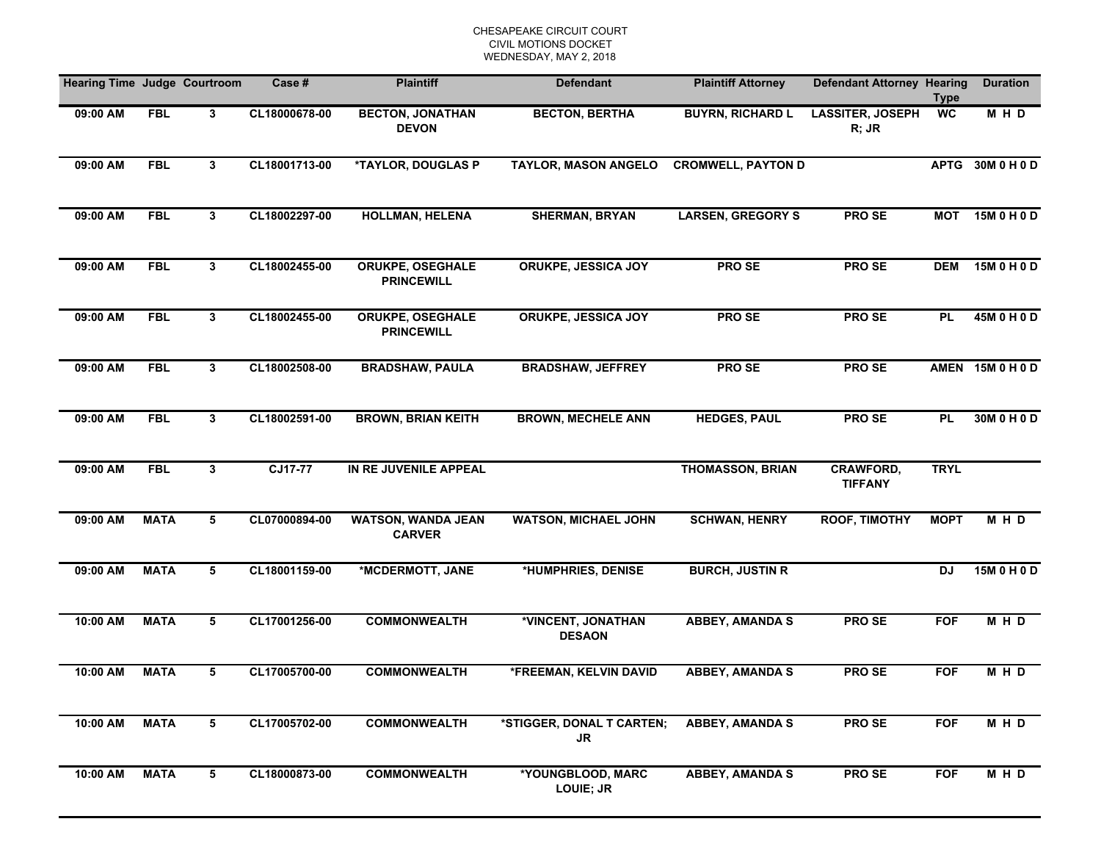| <b>Hearing Time Judge Courtroom</b> |             |                | Case #        | <b>Plaintiff</b>                             | <b>Defendant</b>                    | <b>Plaintiff Attorney</b> | <b>Defendant Attorney Hearing</b>  | <b>Type</b> | <b>Duration</b>  |
|-------------------------------------|-------------|----------------|---------------|----------------------------------------------|-------------------------------------|---------------------------|------------------------------------|-------------|------------------|
| 09:00 AM                            | <b>FBL</b>  | $3\phantom{a}$ | CL18000678-00 | <b>BECTON, JONATHAN</b><br><b>DEVON</b>      | <b>BECTON, BERTHA</b>               | <b>BUYRN, RICHARD L</b>   | <b>LASSITER, JOSEPH</b><br>$R;$ JR | <b>WC</b>   | M H D            |
| 09:00 AM                            | <b>FBL</b>  | $3\phantom{a}$ | CL18001713-00 | *TAYLOR, DOUGLAS P                           | <b>TAYLOR, MASON ANGELO</b>         | <b>CROMWELL, PAYTON D</b> |                                    |             | APTG 30M 0 H 0 D |
| 09:00 AM                            | <b>FBL</b>  | $3\phantom{a}$ | CL18002297-00 | <b>HOLLMAN, HELENA</b>                       | <b>SHERMAN, BRYAN</b>               | <b>LARSEN, GREGORY S</b>  | <b>PROSE</b>                       |             | MOT 15M 0 H 0 D  |
| 09:00 AM                            | <b>FBL</b>  | $3\phantom{a}$ | CL18002455-00 | <b>ORUKPE, OSEGHALE</b><br><b>PRINCEWILL</b> | <b>ORUKPE, JESSICA JOY</b>          | <b>PROSE</b>              | PRO SE                             | <b>DEM</b>  | 15M 0 H 0 D      |
| 09:00 AM                            | <b>FBL</b>  | 3 <sup>1</sup> | CL18002455-00 | <b>ORUKPE, OSEGHALE</b><br><b>PRINCEWILL</b> | ORUKPE, JESSICA JOY                 | <b>PROSE</b>              | <b>PROSE</b>                       | <b>PL</b>   | 45M 0 H 0 D      |
| 09:00 AM                            | <b>FBL</b>  | 3              | CL18002508-00 | <b>BRADSHAW, PAULA</b>                       | <b>BRADSHAW, JEFFREY</b>            | <b>PROSE</b>              | <b>PROSE</b>                       |             | AMEN 15M 0 H 0 D |
| 09:00 AM                            | <b>FBL</b>  | 3              | CL18002591-00 | <b>BROWN, BRIAN KEITH</b>                    | <b>BROWN, MECHELE ANN</b>           | <b>HEDGES, PAUL</b>       | PRO SE                             | <b>PL</b>   | 30M 0 H 0 D      |
| 09:00 AM                            | <b>FBL</b>  | $3\phantom{a}$ | CJ17-77       | IN RE JUVENILE APPEAL                        |                                     | <b>THOMASSON, BRIAN</b>   | CRAWFORD,<br><b>TIFFANY</b>        | <b>TRYL</b> |                  |
| 09:00 AM                            | <b>MATA</b> | 5              | CL07000894-00 | <b>WATSON, WANDA JEAN</b><br><b>CARVER</b>   | <b>WATSON, MICHAEL JOHN</b>         | <b>SCHWAN, HENRY</b>      | ROOF, TIMOTHY                      | <b>MOPT</b> | M H D            |
| 09:00 AM                            | <b>MATA</b> | 5              | CL18001159-00 | *MCDERMOTT, JANE                             | *HUMPHRIES, DENISE                  | <b>BURCH, JUSTIN R</b>    |                                    | <b>DJ</b>   | 15M 0 H 0 D      |
| 10:00 AM                            | <b>MATA</b> | 5              | CL17001256-00 | <b>COMMONWEALTH</b>                          | *VINCENT, JONATHAN<br><b>DESAON</b> | <b>ABBEY, AMANDA S</b>    | <b>PROSE</b>                       | <b>FOF</b>  | M H D            |
| 10:00 AM                            | <b>MATA</b> | 5              | CL17005700-00 | <b>COMMONWEALTH</b>                          | *FREEMAN, KELVIN DAVID              | <b>ABBEY, AMANDA S</b>    | <b>PROSE</b>                       | <b>FOF</b>  | MHD              |
| 10:00 AM                            | <b>MATA</b> | 5              | CL17005702-00 | <b>COMMONWEALTH</b>                          | *STIGGER, DONAL T CARTEN;<br>JR     | <b>ABBEY, AMANDA S</b>    | <b>PROSE</b>                       | <b>FOF</b>  | M H D            |
| 10:00 AM                            | <b>MATA</b> | 5              | CL18000873-00 | <b>COMMONWEALTH</b>                          | *YOUNGBLOOD, MARC<br>LOUIE; JR      | <b>ABBEY, AMANDA S</b>    | PRO SE                             | <b>FOF</b>  | MHD              |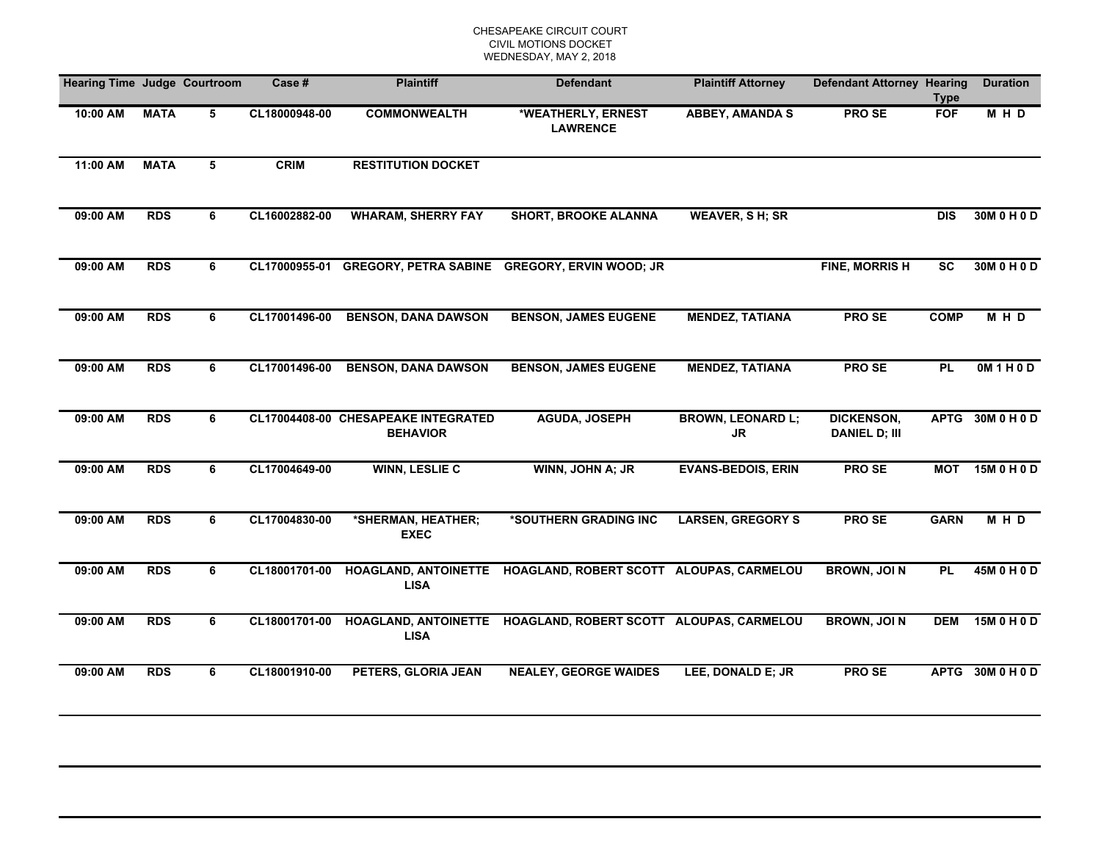| <b>Hearing Time Judge Courtroom</b> |             |   | Case #        | <b>Plaintiff</b>                                       | <b>Defendant</b>                                              | <b>Plaintiff Attorney</b>      | <b>Defendant Attorney Hearing</b>         | <b>Type</b>            | <b>Duration</b>  |
|-------------------------------------|-------------|---|---------------|--------------------------------------------------------|---------------------------------------------------------------|--------------------------------|-------------------------------------------|------------------------|------------------|
| 10:00 AM                            | <b>MATA</b> | 5 | CL18000948-00 | <b>COMMONWEALTH</b>                                    | *WEATHERLY, ERNEST<br><b>LAWRENCE</b>                         | <b>ABBEY, AMANDA S</b>         | PRO SE                                    | <b>FOF</b>             | MHD              |
| 11:00 AM                            | <b>MATA</b> | 5 | <b>CRIM</b>   | <b>RESTITUTION DOCKET</b>                              |                                                               |                                |                                           |                        |                  |
| 09:00 AM                            | <b>RDS</b>  | 6 | CL16002882-00 | <b>WHARAM, SHERRY FAY</b>                              | <b>SHORT, BROOKE ALANNA</b>                                   | <b>WEAVER, SH; SR</b>          |                                           | <b>DIS</b>             | 30M 0 H 0 D      |
| 09:00 AM                            | <b>RDS</b>  | 6 | CL17000955-01 |                                                        | GREGORY, PETRA SABINE GREGORY, ERVIN WOOD; JR                 |                                | <b>FINE, MORRISH</b>                      | $\overline{\text{sc}}$ | 30M 0 H 0 D      |
| 09:00 AM                            | <b>RDS</b>  | 6 | CL17001496-00 | <b>BENSON, DANA DAWSON</b>                             | <b>BENSON, JAMES EUGENE</b>                                   | <b>MENDEZ, TATIANA</b>         | <b>PROSE</b>                              | <b>COMP</b>            | M H D            |
| 09:00 AM                            | <b>RDS</b>  | 6 | CL17001496-00 | <b>BENSON, DANA DAWSON</b>                             | <b>BENSON, JAMES EUGENE</b>                                   | <b>MENDEZ, TATIANA</b>         | <b>PROSE</b>                              | <b>PL</b>              | OM1H0D           |
| 09:00 AM                            | <b>RDS</b>  | 6 |               | CL17004408-00 CHESAPEAKE INTEGRATED<br><b>BEHAVIOR</b> | <b>AGUDA, JOSEPH</b>                                          | <b>BROWN, LEONARD L;</b><br>JR | <b>DICKENSON,</b><br><b>DANIEL D; III</b> |                        | APTG 30M 0 H 0 D |
| 09:00 AM                            | <b>RDS</b>  | 6 | CL17004649-00 | <b>WINN, LESLIE C</b>                                  | WINN, JOHN A; JR                                              | <b>EVANS-BEDOIS, ERIN</b>      | <b>PROSE</b>                              |                        | MOT 15M 0 H 0 D  |
| 09:00 AM                            | <b>RDS</b>  | 6 | CL17004830-00 | *SHERMAN, HEATHER;<br><b>EXEC</b>                      | *SOUTHERN GRADING INC                                         | <b>LARSEN, GREGORY S</b>       | <b>PROSE</b>                              | <b>GARN</b>            | MHD              |
| 09:00 AM                            | <b>RDS</b>  | 6 | CL18001701-00 | <b>LISA</b>                                            | HOAGLAND, ANTOINETTE HOAGLAND, ROBERT SCOTT ALOUPAS, CARMELOU |                                | <b>BROWN, JOIN</b>                        | <b>PL</b>              | 45M 0 H 0 D      |
| 09:00 AM                            | <b>RDS</b>  | 6 | CL18001701-00 | <b>LISA</b>                                            | HOAGLAND, ANTOINETTE HOAGLAND, ROBERT SCOTT ALOUPAS, CARMELOU |                                | <b>BROWN, JOIN</b>                        | <b>DEM</b>             | 15M 0 H 0 D      |
| 09:00 AM                            | <b>RDS</b>  | 6 | CL18001910-00 | PETERS, GLORIA JEAN                                    | <b>NEALEY, GEORGE WAIDES</b>                                  | LEE, DONALD E; JR              | PRO SE                                    |                        | APTG 30M 0 H 0 D |